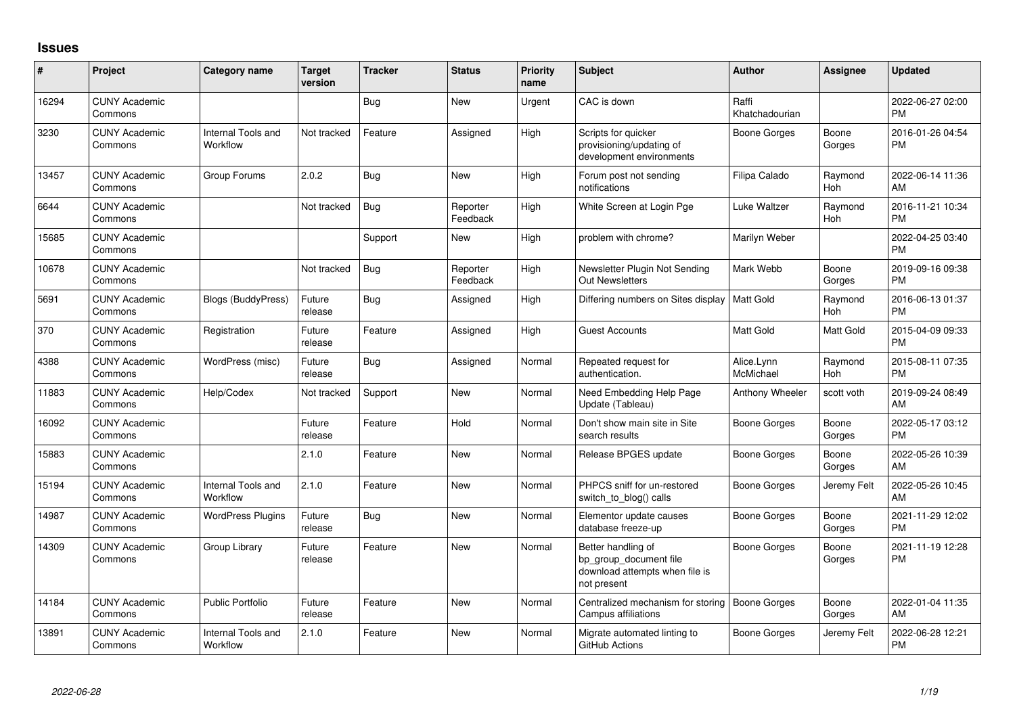## **Issues**

| $\#$  | Project                         | <b>Category name</b>           | <b>Target</b><br>version | <b>Tracker</b> | <b>Status</b>        | <b>Priority</b><br>name | <b>Subject</b>                                                                                | <b>Author</b>           | Assignee              | <b>Updated</b>                |
|-------|---------------------------------|--------------------------------|--------------------------|----------------|----------------------|-------------------------|-----------------------------------------------------------------------------------------------|-------------------------|-----------------------|-------------------------------|
| 16294 | <b>CUNY Academic</b><br>Commons |                                |                          | <b>Bug</b>     | <b>New</b>           | Urgent                  | CAC is down                                                                                   | Raffi<br>Khatchadourian |                       | 2022-06-27 02:00<br><b>PM</b> |
| 3230  | <b>CUNY Academic</b><br>Commons | Internal Tools and<br>Workflow | Not tracked              | Feature        | Assigned             | High                    | Scripts for quicker<br>provisioning/updating of<br>development environments                   | <b>Boone Gorges</b>     | Boone<br>Gorges       | 2016-01-26 04:54<br><b>PM</b> |
| 13457 | <b>CUNY Academic</b><br>Commons | Group Forums                   | 2.0.2                    | <b>Bug</b>     | New                  | High                    | Forum post not sending<br>notifications                                                       | Filipa Calado           | Raymond<br><b>Hoh</b> | 2022-06-14 11:36<br>AM        |
| 6644  | <b>CUNY Academic</b><br>Commons |                                | Not tracked              | <b>Bug</b>     | Reporter<br>Feedback | High                    | White Screen at Login Pge                                                                     | Luke Waltzer            | Raymond<br>Hoh        | 2016-11-21 10:34<br><b>PM</b> |
| 15685 | <b>CUNY Academic</b><br>Commons |                                |                          | Support        | New                  | High                    | problem with chrome?                                                                          | Marilyn Weber           |                       | 2022-04-25 03:40<br><b>PM</b> |
| 10678 | <b>CUNY Academic</b><br>Commons |                                | Not tracked              | <b>Bug</b>     | Reporter<br>Feedback | High                    | Newsletter Plugin Not Sending<br><b>Out Newsletters</b>                                       | Mark Webb               | Boone<br>Gorges       | 2019-09-16 09:38<br><b>PM</b> |
| 5691  | <b>CUNY Academic</b><br>Commons | <b>Blogs (BuddyPress)</b>      | Future<br>release        | <b>Bug</b>     | Assigned             | High                    | Differing numbers on Sites display                                                            | <b>Matt Gold</b>        | Raymond<br>Hoh        | 2016-06-13 01:37<br><b>PM</b> |
| 370   | <b>CUNY Academic</b><br>Commons | Registration                   | Future<br>release        | Feature        | Assigned             | High                    | Guest Accounts                                                                                | Matt Gold               | Matt Gold             | 2015-04-09 09:33<br><b>PM</b> |
| 4388  | <b>CUNY Academic</b><br>Commons | WordPress (misc)               | Future<br>release        | Bug            | Assigned             | Normal                  | Repeated request for<br>authentication.                                                       | Alice.Lynn<br>McMichael | Raymond<br><b>Hoh</b> | 2015-08-11 07:35<br><b>PM</b> |
| 11883 | <b>CUNY Academic</b><br>Commons | Help/Codex                     | Not tracked              | Support        | <b>New</b>           | Normal                  | Need Embedding Help Page<br>Update (Tableau)                                                  | Anthony Wheeler         | scott voth            | 2019-09-24 08:49<br>AM        |
| 16092 | <b>CUNY Academic</b><br>Commons |                                | Future<br>release        | Feature        | Hold                 | Normal                  | Don't show main site in Site<br>search results                                                | <b>Boone Gorges</b>     | Boone<br>Gorges       | 2022-05-17 03:12<br><b>PM</b> |
| 15883 | <b>CUNY Academic</b><br>Commons |                                | 2.1.0                    | Feature        | New                  | Normal                  | Release BPGES update                                                                          | Boone Gorges            | Boone<br>Gorges       | 2022-05-26 10:39<br>AM        |
| 15194 | <b>CUNY Academic</b><br>Commons | Internal Tools and<br>Workflow | 2.1.0                    | Feature        | New                  | Normal                  | PHPCS sniff for un-restored<br>switch_to_blog() calls                                         | Boone Gorges            | Jeremy Felt           | 2022-05-26 10:45<br>AM        |
| 14987 | <b>CUNY Academic</b><br>Commons | <b>WordPress Plugins</b>       | Future<br>release        | <b>Bug</b>     | <b>New</b>           | Normal                  | Elementor update causes<br>database freeze-up                                                 | <b>Boone Gorges</b>     | Boone<br>Gorges       | 2021-11-29 12:02<br><b>PM</b> |
| 14309 | <b>CUNY Academic</b><br>Commons | Group Library                  | Future<br>release        | Feature        | New                  | Normal                  | Better handling of<br>bp group document file<br>download attempts when file is<br>not present | <b>Boone Gorges</b>     | Boone<br>Gorges       | 2021-11-19 12:28<br><b>PM</b> |
| 14184 | <b>CUNY Academic</b><br>Commons | Public Portfolio               | Future<br>release        | Feature        | <b>New</b>           | Normal                  | Centralized mechanism for storing<br>Campus affiliations                                      | <b>Boone Gorges</b>     | Boone<br>Gorges       | 2022-01-04 11:35<br>AM        |
| 13891 | <b>CUNY Academic</b><br>Commons | Internal Tools and<br>Workflow | 2.1.0                    | Feature        | <b>New</b>           | Normal                  | Migrate automated linting to<br>GitHub Actions                                                | Boone Gorges            | Jeremy Felt           | 2022-06-28 12:21<br><b>PM</b> |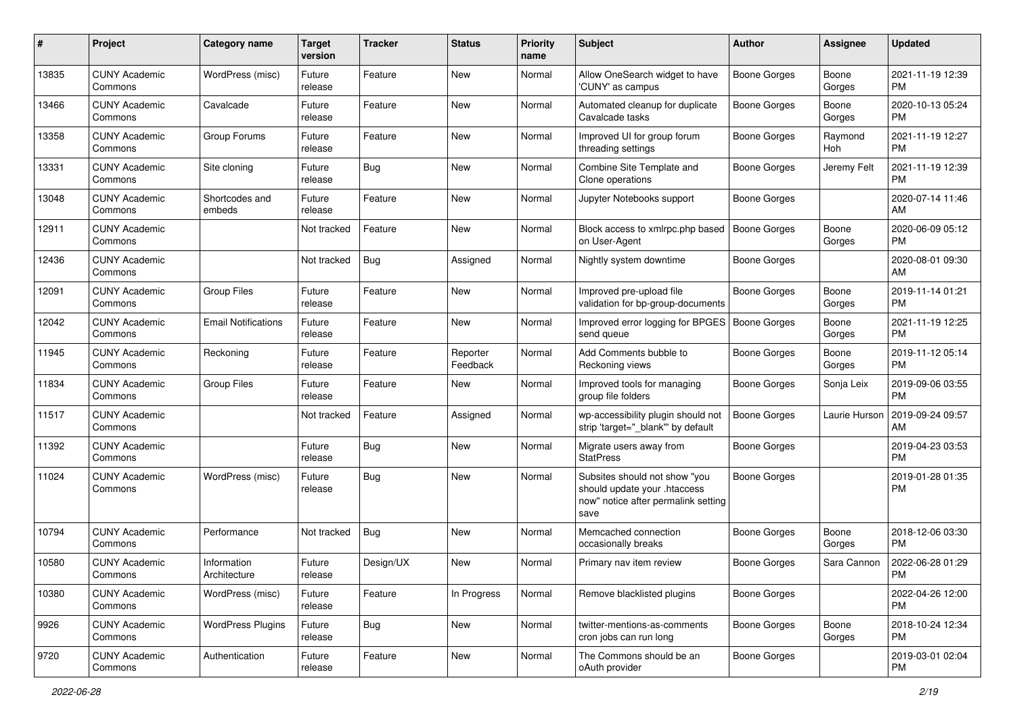| #     | Project                         | <b>Category name</b>        | <b>Target</b><br>version | <b>Tracker</b> | <b>Status</b>        | <b>Priority</b><br>name | <b>Subject</b>                                                                                               | <b>Author</b>       | <b>Assignee</b> | <b>Updated</b>                |
|-------|---------------------------------|-----------------------------|--------------------------|----------------|----------------------|-------------------------|--------------------------------------------------------------------------------------------------------------|---------------------|-----------------|-------------------------------|
| 13835 | <b>CUNY Academic</b><br>Commons | WordPress (misc)            | Future<br>release        | Feature        | <b>New</b>           | Normal                  | Allow OneSearch widget to have<br>'CUNY' as campus                                                           | <b>Boone Gorges</b> | Boone<br>Gorges | 2021-11-19 12:39<br><b>PM</b> |
| 13466 | <b>CUNY Academic</b><br>Commons | Cavalcade                   | Future<br>release        | Feature        | New                  | Normal                  | Automated cleanup for duplicate<br>Cavalcade tasks                                                           | <b>Boone Gorges</b> | Boone<br>Gorges | 2020-10-13 05:24<br><b>PM</b> |
| 13358 | <b>CUNY Academic</b><br>Commons | Group Forums                | Future<br>release        | Feature        | New                  | Normal                  | Improved UI for group forum<br>threading settings                                                            | <b>Boone Gorges</b> | Raymond<br>Hoh  | 2021-11-19 12:27<br><b>PM</b> |
| 13331 | <b>CUNY Academic</b><br>Commons | Site cloning                | Future<br>release        | <b>Bug</b>     | <b>New</b>           | Normal                  | Combine Site Template and<br>Clone operations                                                                | Boone Gorges        | Jeremy Felt     | 2021-11-19 12:39<br><b>PM</b> |
| 13048 | <b>CUNY Academic</b><br>Commons | Shortcodes and<br>embeds    | Future<br>release        | Feature        | <b>New</b>           | Normal                  | Jupyter Notebooks support                                                                                    | <b>Boone Gorges</b> |                 | 2020-07-14 11:46<br>AM        |
| 12911 | <b>CUNY Academic</b><br>Commons |                             | Not tracked              | Feature        | <b>New</b>           | Normal                  | Block access to xmlrpc.php based<br>on User-Agent                                                            | <b>Boone Gorges</b> | Boone<br>Gorges | 2020-06-09 05:12<br><b>PM</b> |
| 12436 | <b>CUNY Academic</b><br>Commons |                             | Not tracked              | Bug            | Assigned             | Normal                  | Nightly system downtime                                                                                      | <b>Boone Gorges</b> |                 | 2020-08-01 09:30<br>AM        |
| 12091 | <b>CUNY Academic</b><br>Commons | <b>Group Files</b>          | Future<br>release        | Feature        | <b>New</b>           | Normal                  | Improved pre-upload file<br>validation for bp-group-documents                                                | <b>Boone Gorges</b> | Boone<br>Gorges | 2019-11-14 01:21<br><b>PM</b> |
| 12042 | <b>CUNY Academic</b><br>Commons | <b>Email Notifications</b>  | Future<br>release        | Feature        | New                  | Normal                  | Improved error logging for BPGES<br>send queue                                                               | <b>Boone Gorges</b> | Boone<br>Gorges | 2021-11-19 12:25<br><b>PM</b> |
| 11945 | <b>CUNY Academic</b><br>Commons | Reckoning                   | Future<br>release        | Feature        | Reporter<br>Feedback | Normal                  | Add Comments bubble to<br>Reckoning views                                                                    | Boone Gorges        | Boone<br>Gorges | 2019-11-12 05:14<br><b>PM</b> |
| 11834 | <b>CUNY Academic</b><br>Commons | <b>Group Files</b>          | Future<br>release        | Feature        | <b>New</b>           | Normal                  | Improved tools for managing<br>group file folders                                                            | Boone Gorges        | Sonja Leix      | 2019-09-06 03:55<br><b>PM</b> |
| 11517 | <b>CUNY Academic</b><br>Commons |                             | Not tracked              | Feature        | Assigned             | Normal                  | wp-accessibility plugin should not<br>strip 'target="_blank" by default                                      | <b>Boone Gorges</b> | Laurie Hurson   | 2019-09-24 09:57<br>AM        |
| 11392 | <b>CUNY Academic</b><br>Commons |                             | Future<br>release        | <b>Bug</b>     | <b>New</b>           | Normal                  | Migrate users away from<br><b>StatPress</b>                                                                  | <b>Boone Gorges</b> |                 | 2019-04-23 03:53<br><b>PM</b> |
| 11024 | <b>CUNY Academic</b><br>Commons | WordPress (misc)            | Future<br>release        | <b>Bug</b>     | New                  | Normal                  | Subsites should not show "you<br>should update your .htaccess<br>now" notice after permalink setting<br>save | <b>Boone Gorges</b> |                 | 2019-01-28 01:35<br><b>PM</b> |
| 10794 | <b>CUNY Academic</b><br>Commons | Performance                 | Not tracked              | <b>Bug</b>     | New                  | Normal                  | Memcached connection<br>occasionally breaks                                                                  | <b>Boone Gorges</b> | Boone<br>Gorges | 2018-12-06 03:30<br><b>PM</b> |
| 10580 | <b>CUNY Academic</b><br>Commons | Information<br>Architecture | Future<br>release        | Design/UX      | New                  | Normal                  | Primary nav item review                                                                                      | Boone Gorges        | Sara Cannon     | 2022-06-28 01:29<br>PM        |
| 10380 | <b>CUNY Academic</b><br>Commons | WordPress (misc)            | Future<br>release        | Feature        | In Progress          | Normal                  | Remove blacklisted plugins                                                                                   | <b>Boone Gorges</b> |                 | 2022-04-26 12:00<br><b>PM</b> |
| 9926  | <b>CUNY Academic</b><br>Commons | <b>WordPress Plugins</b>    | Future<br>release        | Bug            | New                  | Normal                  | twitter-mentions-as-comments<br>cron jobs can run long                                                       | <b>Boone Gorges</b> | Boone<br>Gorges | 2018-10-24 12:34<br><b>PM</b> |
| 9720  | <b>CUNY Academic</b><br>Commons | Authentication              | Future<br>release        | Feature        | New                  | Normal                  | The Commons should be an<br>oAuth provider                                                                   | <b>Boone Gorges</b> |                 | 2019-03-01 02:04<br>PM        |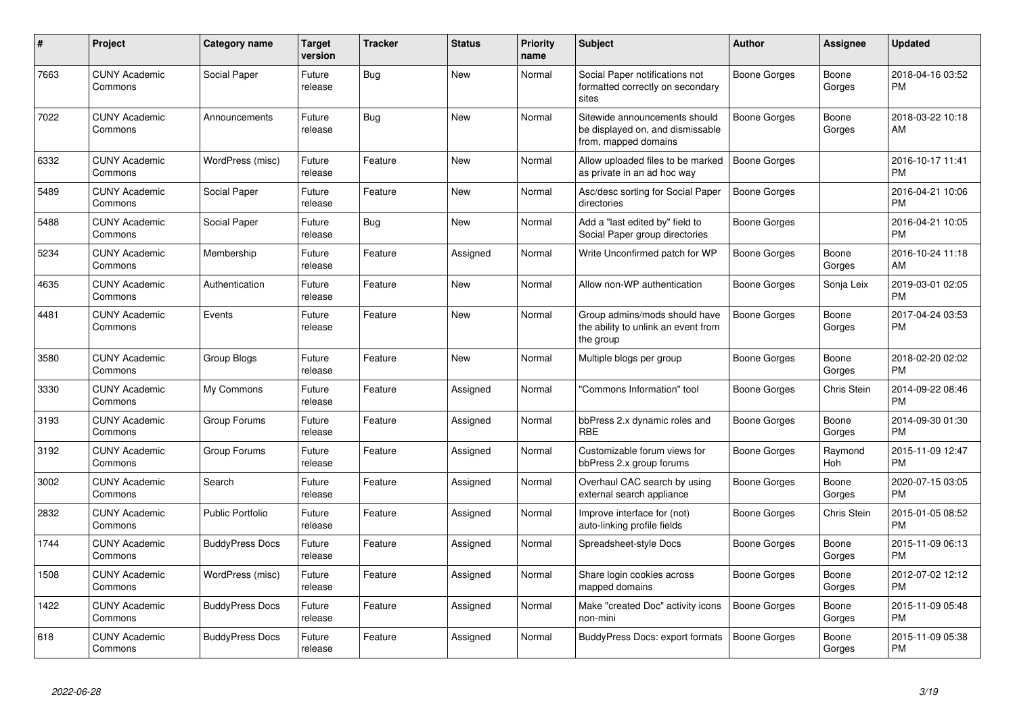| #    | Project                         | <b>Category name</b>   | <b>Target</b><br>version | Tracker    | <b>Status</b> | Priority<br>name | <b>Subject</b>                                                                            | <b>Author</b>       | <b>Assignee</b> | Updated                       |
|------|---------------------------------|------------------------|--------------------------|------------|---------------|------------------|-------------------------------------------------------------------------------------------|---------------------|-----------------|-------------------------------|
| 7663 | <b>CUNY Academic</b><br>Commons | Social Paper           | Future<br>release        | Bug        | <b>New</b>    | Normal           | Social Paper notifications not<br>formatted correctly on secondary<br>sites               | Boone Gorges        | Boone<br>Gorges | 2018-04-16 03:52<br><b>PM</b> |
| 7022 | <b>CUNY Academic</b><br>Commons | Announcements          | Future<br>release        | <b>Bug</b> | New           | Normal           | Sitewide announcements should<br>be displayed on, and dismissable<br>from, mapped domains | Boone Gorges        | Boone<br>Gorges | 2018-03-22 10:18<br>AM        |
| 6332 | <b>CUNY Academic</b><br>Commons | WordPress (misc)       | Future<br>release        | Feature    | <b>New</b>    | Normal           | Allow uploaded files to be marked<br>as private in an ad hoc way                          | <b>Boone Gorges</b> |                 | 2016-10-17 11:41<br><b>PM</b> |
| 5489 | <b>CUNY Academic</b><br>Commons | Social Paper           | Future<br>release        | Feature    | <b>New</b>    | Normal           | Asc/desc sorting for Social Paper<br>directories                                          | <b>Boone Gorges</b> |                 | 2016-04-21 10:06<br><b>PM</b> |
| 5488 | <b>CUNY Academic</b><br>Commons | Social Paper           | Future<br>release        | Bug        | New           | Normal           | Add a "last edited by" field to<br>Social Paper group directories                         | <b>Boone Gorges</b> |                 | 2016-04-21 10:05<br>РM        |
| 5234 | <b>CUNY Academic</b><br>Commons | Membership             | Future<br>release        | Feature    | Assigned      | Normal           | Write Unconfirmed patch for WP                                                            | Boone Gorges        | Boone<br>Gorges | 2016-10-24 11:18<br>AM        |
| 4635 | <b>CUNY Academic</b><br>Commons | Authentication         | Future<br>release        | Feature    | New           | Normal           | Allow non-WP authentication                                                               | Boone Gorges        | Sonja Leix      | 2019-03-01 02:05<br>PM        |
| 4481 | <b>CUNY Academic</b><br>Commons | Events                 | Future<br>release        | Feature    | New           | Normal           | Group admins/mods should have<br>the ability to unlink an event from<br>the group         | Boone Gorges        | Boone<br>Gorges | 2017-04-24 03:53<br><b>PM</b> |
| 3580 | <b>CUNY Academic</b><br>Commons | Group Blogs            | Future<br>release        | Feature    | <b>New</b>    | Normal           | Multiple blogs per group                                                                  | Boone Gorges        | Boone<br>Gorges | 2018-02-20 02:02<br><b>PM</b> |
| 3330 | <b>CUNY Academic</b><br>Commons | My Commons             | Future<br>release        | Feature    | Assigned      | Normal           | 'Commons Information" tool                                                                | Boone Gorges        | Chris Stein     | 2014-09-22 08:46<br><b>PM</b> |
| 3193 | <b>CUNY Academic</b><br>Commons | Group Forums           | Future<br>release        | Feature    | Assigned      | Normal           | bbPress 2.x dynamic roles and<br><b>RBE</b>                                               | Boone Gorges        | Boone<br>Gorges | 2014-09-30 01:30<br><b>PM</b> |
| 3192 | <b>CUNY Academic</b><br>Commons | Group Forums           | Future<br>release        | Feature    | Assigned      | Normal           | Customizable forum views for<br>bbPress 2.x group forums                                  | Boone Gorges        | Raymond<br>Hoh  | 2015-11-09 12:47<br><b>PM</b> |
| 3002 | <b>CUNY Academic</b><br>Commons | Search                 | Future<br>release        | Feature    | Assigned      | Normal           | Overhaul CAC search by using<br>external search appliance                                 | <b>Boone Gorges</b> | Boone<br>Gorges | 2020-07-15 03:05<br>PM        |
| 2832 | <b>CUNY Academic</b><br>Commons | Public Portfolio       | Future<br>release        | Feature    | Assigned      | Normal           | Improve interface for (not)<br>auto-linking profile fields                                | Boone Gorges        | Chris Stein     | 2015-01-05 08:52<br>PМ        |
| 1744 | <b>CUNY Academic</b><br>Commons | <b>BuddyPress Docs</b> | Future<br>release        | Feature    | Assigned      | Normal           | Spreadsheet-style Docs                                                                    | Boone Gorges        | Boone<br>Gorges | 2015-11-09 06:13<br><b>PM</b> |
| 1508 | <b>CUNY Academic</b><br>Commons | WordPress (misc)       | Future<br>release        | Feature    | Assigned      | Normal           | Share login cookies across<br>mapped domains                                              | <b>Boone Gorges</b> | Boone<br>Gorges | 2012-07-02 12:12<br><b>PM</b> |
| 1422 | <b>CUNY Academic</b><br>Commons | <b>BuddyPress Docs</b> | Future<br>release        | Feature    | Assigned      | Normal           | Make "created Doc" activity icons<br>non-mini                                             | Boone Gorges        | Boone<br>Gorges | 2015-11-09 05:48<br>PM        |
| 618  | <b>CUNY Academic</b><br>Commons | <b>BuddyPress Docs</b> | Future<br>release        | Feature    | Assigned      | Normal           | BuddyPress Docs: export formats                                                           | Boone Gorges        | Boone<br>Gorges | 2015-11-09 05:38<br><b>PM</b> |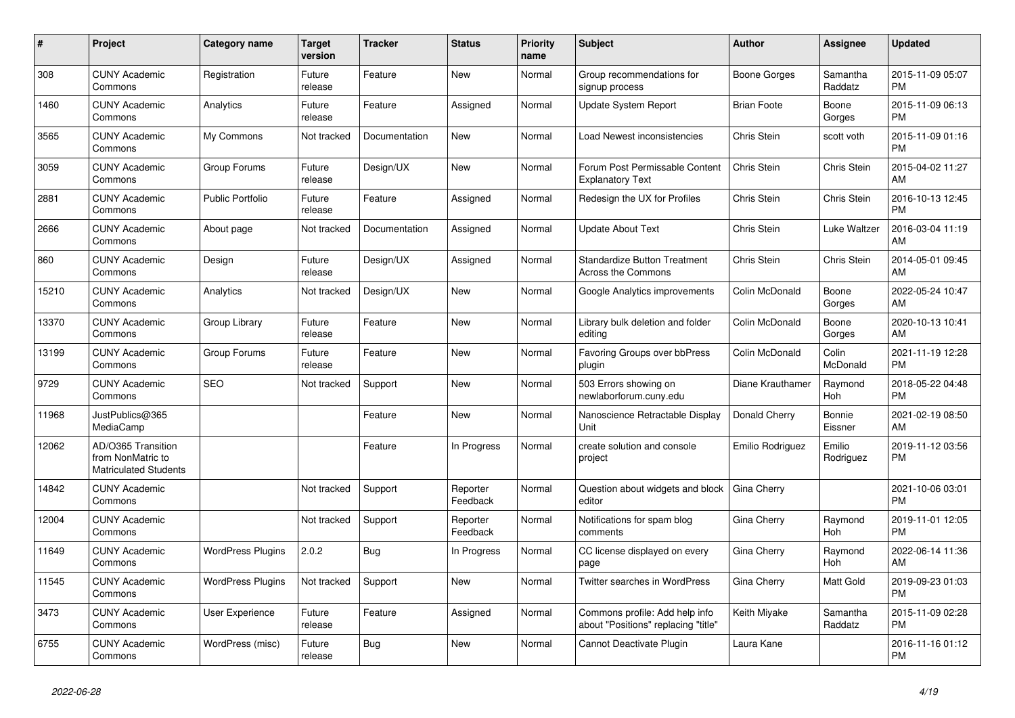| #     | Project                                                                 | <b>Category name</b>     | <b>Target</b><br>version | <b>Tracker</b> | <b>Status</b>        | Priority<br>name | <b>Subject</b>                                                        | <b>Author</b>      | <b>Assignee</b>       | <b>Updated</b>                |
|-------|-------------------------------------------------------------------------|--------------------------|--------------------------|----------------|----------------------|------------------|-----------------------------------------------------------------------|--------------------|-----------------------|-------------------------------|
| 308   | <b>CUNY Academic</b><br>Commons                                         | Registration             | Future<br>release        | Feature        | <b>New</b>           | Normal           | Group recommendations for<br>signup process                           | Boone Gorges       | Samantha<br>Raddatz   | 2015-11-09 05:07<br><b>PM</b> |
| 1460  | <b>CUNY Academic</b><br>Commons                                         | Analytics                | Future<br>release        | Feature        | Assigned             | Normal           | <b>Update System Report</b>                                           | <b>Brian Foote</b> | Boone<br>Gorges       | 2015-11-09 06:13<br><b>PM</b> |
| 3565  | <b>CUNY Academic</b><br>Commons                                         | My Commons               | Not tracked              | Documentation  | <b>New</b>           | Normal           | Load Newest inconsistencies                                           | <b>Chris Stein</b> | scott voth            | 2015-11-09 01:16<br><b>PM</b> |
| 3059  | <b>CUNY Academic</b><br>Commons                                         | Group Forums             | Future<br>release        | Design/UX      | <b>New</b>           | Normal           | Forum Post Permissable Content<br><b>Explanatory Text</b>             | Chris Stein        | Chris Stein           | 2015-04-02 11:27<br>AM        |
| 2881  | <b>CUNY Academic</b><br>Commons                                         | <b>Public Portfolio</b>  | Future<br>release        | Feature        | Assigned             | Normal           | Redesign the UX for Profiles                                          | Chris Stein        | Chris Stein           | 2016-10-13 12:45<br><b>PM</b> |
| 2666  | <b>CUNY Academic</b><br>Commons                                         | About page               | Not tracked              | Documentation  | Assigned             | Normal           | <b>Update About Text</b>                                              | Chris Stein        | Luke Waltzer          | 2016-03-04 11:19<br>AM        |
| 860   | <b>CUNY Academic</b><br>Commons                                         | Design                   | Future<br>release        | Design/UX      | Assigned             | Normal           | <b>Standardize Button Treatment</b><br>Across the Commons             | Chris Stein        | Chris Stein           | 2014-05-01 09:45<br>AM        |
| 15210 | <b>CUNY Academic</b><br>Commons                                         | Analytics                | Not tracked              | Design/UX      | <b>New</b>           | Normal           | Google Analytics improvements                                         | Colin McDonald     | Boone<br>Gorges       | 2022-05-24 10:47<br>AM        |
| 13370 | <b>CUNY Academic</b><br>Commons                                         | Group Library            | Future<br>release        | Feature        | <b>New</b>           | Normal           | Library bulk deletion and folder<br>editing                           | Colin McDonald     | Boone<br>Gorges       | 2020-10-13 10:41<br>AM        |
| 13199 | <b>CUNY Academic</b><br>Commons                                         | Group Forums             | Future<br>release        | Feature        | <b>New</b>           | Normal           | Favoring Groups over bbPress<br>plugin                                | Colin McDonald     | Colin<br>McDonald     | 2021-11-19 12:28<br><b>PM</b> |
| 9729  | <b>CUNY Academic</b><br>Commons                                         | <b>SEO</b>               | Not tracked              | Support        | <b>New</b>           | Normal           | 503 Errors showing on<br>newlaborforum.cuny.edu                       | Diane Krauthamer   | Raymond<br><b>Hoh</b> | 2018-05-22 04:48<br><b>PM</b> |
| 11968 | JustPublics@365<br>MediaCamp                                            |                          |                          | Feature        | <b>New</b>           | Normal           | Nanoscience Retractable Display<br><b>Unit</b>                        | Donald Cherry      | Bonnie<br>Eissner     | 2021-02-19 08:50<br>AM        |
| 12062 | AD/O365 Transition<br>from NonMatric to<br><b>Matriculated Students</b> |                          |                          | Feature        | In Progress          | Normal           | create solution and console<br>project                                | Emilio Rodriguez   | Emilio<br>Rodriguez   | 2019-11-12 03:56<br>PM        |
| 14842 | <b>CUNY Academic</b><br>Commons                                         |                          | Not tracked              | Support        | Reporter<br>Feedback | Normal           | Question about widgets and block<br>editor                            | Gina Cherry        |                       | 2021-10-06 03:01<br><b>PM</b> |
| 12004 | <b>CUNY Academic</b><br>Commons                                         |                          | Not tracked              | Support        | Reporter<br>Feedback | Normal           | Notifications for spam blog<br>comments                               | Gina Cherry        | Raymond<br>Hoh        | 2019-11-01 12:05<br><b>PM</b> |
| 11649 | <b>CUNY Academic</b><br>Commons                                         | <b>WordPress Plugins</b> | 2.0.2                    | <b>Bug</b>     | In Progress          | Normal           | CC license displayed on every<br>page                                 | Gina Cherry        | Raymond<br><b>Hoh</b> | 2022-06-14 11:36<br>AM        |
| 11545 | <b>CUNY Academic</b><br>Commons                                         | <b>WordPress Plugins</b> | Not tracked              | Support        | <b>New</b>           | Normal           | Twitter searches in WordPress                                         | Gina Cherry        | <b>Matt Gold</b>      | 2019-09-23 01:03<br><b>PM</b> |
| 3473  | <b>CUNY Academic</b><br>Commons                                         | <b>User Experience</b>   | Future<br>release        | Feature        | Assigned             | Normal           | Commons profile: Add help info<br>about "Positions" replacing "title" | Keith Miyake       | Samantha<br>Raddatz   | 2015-11-09 02:28<br><b>PM</b> |
| 6755  | <b>CUNY Academic</b><br>Commons                                         | WordPress (misc)         | Future<br>release        | Bug            | <b>New</b>           | Normal           | Cannot Deactivate Plugin                                              | Laura Kane         |                       | 2016-11-16 01:12<br><b>PM</b> |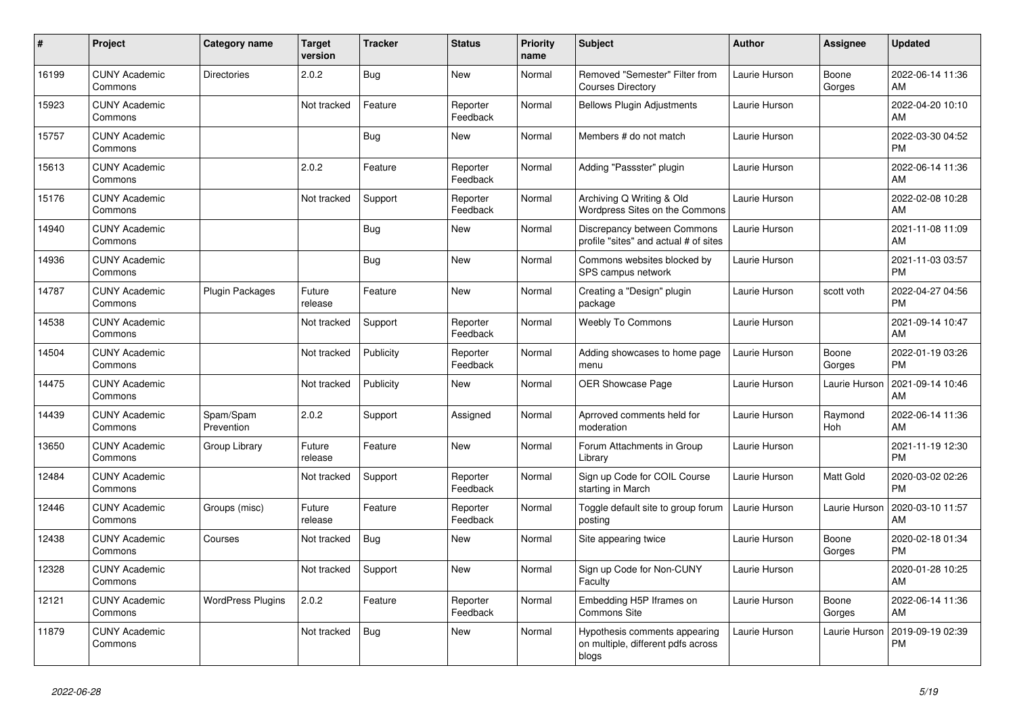| $\vert$ # | Project                         | Category name            | <b>Target</b><br>version | <b>Tracker</b> | <b>Status</b>        | <b>Priority</b><br>name | <b>Subject</b>                                                               | <b>Author</b> | Assignee        | <b>Updated</b>                |
|-----------|---------------------------------|--------------------------|--------------------------|----------------|----------------------|-------------------------|------------------------------------------------------------------------------|---------------|-----------------|-------------------------------|
| 16199     | <b>CUNY Academic</b><br>Commons | <b>Directories</b>       | 2.0.2                    | <b>Bug</b>     | <b>New</b>           | Normal                  | Removed "Semester" Filter from<br><b>Courses Directory</b>                   | Laurie Hurson | Boone<br>Gorges | 2022-06-14 11:36<br>AM        |
| 15923     | <b>CUNY Academic</b><br>Commons |                          | Not tracked              | Feature        | Reporter<br>Feedback | Normal                  | <b>Bellows Plugin Adjustments</b>                                            | Laurie Hurson |                 | 2022-04-20 10:10<br>AM        |
| 15757     | <b>CUNY Academic</b><br>Commons |                          |                          | <b>Bug</b>     | New                  | Normal                  | Members # do not match                                                       | Laurie Hurson |                 | 2022-03-30 04:52<br><b>PM</b> |
| 15613     | <b>CUNY Academic</b><br>Commons |                          | 2.0.2                    | Feature        | Reporter<br>Feedback | Normal                  | Adding "Passster" plugin                                                     | Laurie Hurson |                 | 2022-06-14 11:36<br>AM        |
| 15176     | <b>CUNY Academic</b><br>Commons |                          | Not tracked              | Support        | Reporter<br>Feedback | Normal                  | Archiving Q Writing & Old<br>Wordpress Sites on the Commons                  | Laurie Hurson |                 | 2022-02-08 10:28<br>AM        |
| 14940     | <b>CUNY Academic</b><br>Commons |                          |                          | Bug            | New                  | Normal                  | Discrepancy between Commons<br>profile "sites" and actual # of sites         | Laurie Hurson |                 | 2021-11-08 11:09<br>AM        |
| 14936     | <b>CUNY Academic</b><br>Commons |                          |                          | <b>Bug</b>     | <b>New</b>           | Normal                  | Commons websites blocked by<br>SPS campus network                            | Laurie Hurson |                 | 2021-11-03 03:57<br><b>PM</b> |
| 14787     | <b>CUNY Academic</b><br>Commons | <b>Plugin Packages</b>   | Future<br>release        | Feature        | <b>New</b>           | Normal                  | Creating a "Design" plugin<br>package                                        | Laurie Hurson | scott voth      | 2022-04-27 04:56<br><b>PM</b> |
| 14538     | <b>CUNY Academic</b><br>Commons |                          | Not tracked              | Support        | Reporter<br>Feedback | Normal                  | <b>Weebly To Commons</b>                                                     | Laurie Hurson |                 | 2021-09-14 10:47<br>AM        |
| 14504     | <b>CUNY Academic</b><br>Commons |                          | Not tracked              | Publicity      | Reporter<br>Feedback | Normal                  | Adding showcases to home page<br>menu                                        | Laurie Hurson | Boone<br>Gorges | 2022-01-19 03:26<br><b>PM</b> |
| 14475     | <b>CUNY Academic</b><br>Commons |                          | Not tracked              | Publicity      | <b>New</b>           | Normal                  | <b>OER Showcase Page</b>                                                     | Laurie Hurson | Laurie Hurson   | 2021-09-14 10:46<br>AM        |
| 14439     | <b>CUNY Academic</b><br>Commons | Spam/Spam<br>Prevention  | 2.0.2                    | Support        | Assigned             | Normal                  | Aprroved comments held for<br>moderation                                     | Laurie Hurson | Raymond<br>Hoh  | 2022-06-14 11:36<br>AM        |
| 13650     | <b>CUNY Academic</b><br>Commons | Group Library            | Future<br>release        | Feature        | <b>New</b>           | Normal                  | Forum Attachments in Group<br>Librarv                                        | Laurie Hurson |                 | 2021-11-19 12:30<br><b>PM</b> |
| 12484     | <b>CUNY Academic</b><br>Commons |                          | Not tracked              | Support        | Reporter<br>Feedback | Normal                  | Sign up Code for COIL Course<br>starting in March                            | Laurie Hurson | Matt Gold       | 2020-03-02 02:26<br><b>PM</b> |
| 12446     | <b>CUNY Academic</b><br>Commons | Groups (misc)            | Future<br>release        | Feature        | Reporter<br>Feedback | Normal                  | Toggle default site to group forum<br>posting                                | Laurie Hurson | Laurie Hurson   | 2020-03-10 11:57<br>AM        |
| 12438     | <b>CUNY Academic</b><br>Commons | Courses                  | Not tracked              | <b>Bug</b>     | <b>New</b>           | Normal                  | Site appearing twice                                                         | Laurie Hurson | Boone<br>Gorges | 2020-02-18 01:34<br><b>PM</b> |
| 12328     | <b>CUNY Academic</b><br>Commons |                          | Not tracked              | Support        | <b>New</b>           | Normal                  | Sign up Code for Non-CUNY<br>Faculty                                         | Laurie Hurson |                 | 2020-01-28 10:25<br>AM        |
| 12121     | <b>CUNY Academic</b><br>Commons | <b>WordPress Plugins</b> | 2.0.2                    | Feature        | Reporter<br>Feedback | Normal                  | Embedding H5P Iframes on<br><b>Commons Site</b>                              | Laurie Hurson | Boone<br>Gorges | 2022-06-14 11:36<br>AM        |
| 11879     | <b>CUNY Academic</b><br>Commons |                          | Not tracked              | <b>Bug</b>     | <b>New</b>           | Normal                  | Hypothesis comments appearing<br>on multiple, different pdfs across<br>blogs | Laurie Hurson | Laurie Hurson   | 2019-09-19 02:39<br><b>PM</b> |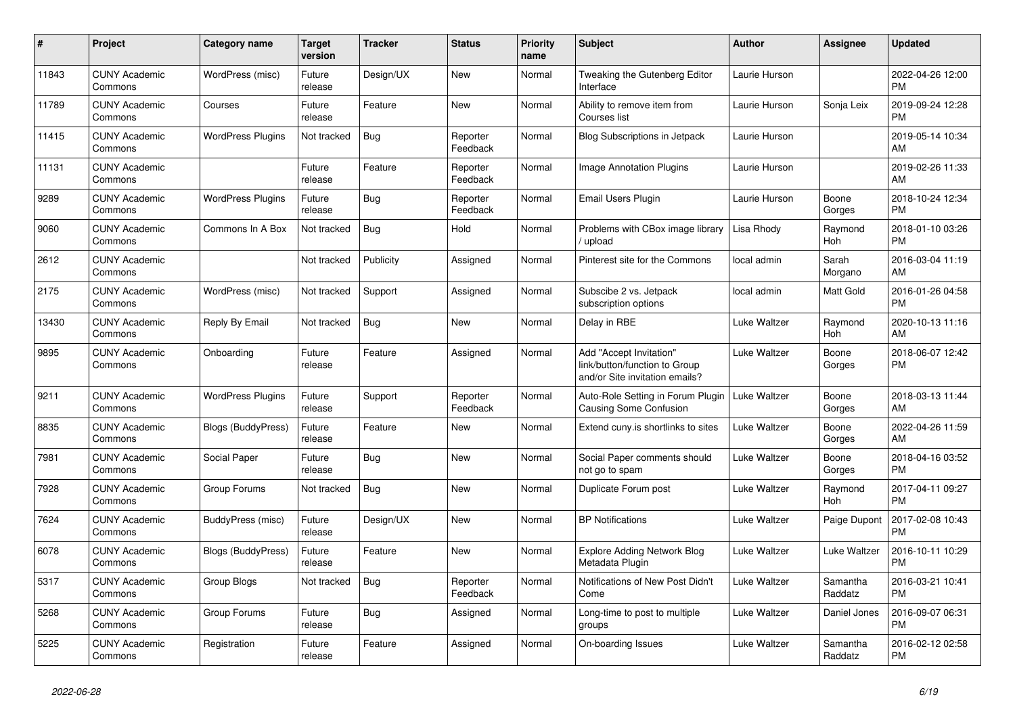| #     | Project                         | Category name             | <b>Target</b><br>version | Tracker    | <b>Status</b>        | <b>Priority</b><br>name | <b>Subject</b>                                                                             | <b>Author</b> | Assignee              | <b>Updated</b>                |
|-------|---------------------------------|---------------------------|--------------------------|------------|----------------------|-------------------------|--------------------------------------------------------------------------------------------|---------------|-----------------------|-------------------------------|
| 11843 | <b>CUNY Academic</b><br>Commons | WordPress (misc)          | Future<br>release        | Design/UX  | <b>New</b>           | Normal                  | Tweaking the Gutenberg Editor<br>Interface                                                 | Laurie Hurson |                       | 2022-04-26 12:00<br><b>PM</b> |
| 11789 | <b>CUNY Academic</b><br>Commons | Courses                   | Future<br>release        | Feature    | <b>New</b>           | Normal                  | Ability to remove item from<br>Courses list                                                | Laurie Hurson | Sonja Leix            | 2019-09-24 12:28<br><b>PM</b> |
| 11415 | <b>CUNY Academic</b><br>Commons | <b>WordPress Plugins</b>  | Not tracked              | <b>Bug</b> | Reporter<br>Feedback | Normal                  | <b>Blog Subscriptions in Jetpack</b>                                                       | Laurie Hurson |                       | 2019-05-14 10:34<br>AM        |
| 11131 | <b>CUNY Academic</b><br>Commons |                           | Future<br>release        | Feature    | Reporter<br>Feedback | Normal                  | <b>Image Annotation Plugins</b>                                                            | Laurie Hurson |                       | 2019-02-26 11:33<br>AM        |
| 9289  | <b>CUNY Academic</b><br>Commons | <b>WordPress Plugins</b>  | Future<br>release        | Bug        | Reporter<br>Feedback | Normal                  | Email Users Plugin                                                                         | Laurie Hurson | Boone<br>Gorges       | 2018-10-24 12:34<br><b>PM</b> |
| 9060  | <b>CUNY Academic</b><br>Commons | Commons In A Box          | Not tracked              | <b>Bug</b> | Hold                 | Normal                  | Problems with CBox image library<br>upload                                                 | Lisa Rhody    | Raymond<br><b>Hoh</b> | 2018-01-10 03:26<br><b>PM</b> |
| 2612  | <b>CUNY Academic</b><br>Commons |                           | Not tracked              | Publicity  | Assigned             | Normal                  | Pinterest site for the Commons                                                             | local admin   | Sarah<br>Morgano      | 2016-03-04 11:19<br>AM        |
| 2175  | <b>CUNY Academic</b><br>Commons | WordPress (misc)          | Not tracked              | Support    | Assigned             | Normal                  | Subscibe 2 vs. Jetpack<br>subscription options                                             | local admin   | <b>Matt Gold</b>      | 2016-01-26 04:58<br><b>PM</b> |
| 13430 | <b>CUNY Academic</b><br>Commons | Reply By Email            | Not tracked              | <b>Bug</b> | <b>New</b>           | Normal                  | Delay in RBE                                                                               | Luke Waltzer  | Raymond<br>Hoh        | 2020-10-13 11:16<br>AM        |
| 9895  | <b>CUNY Academic</b><br>Commons | Onboarding                | Future<br>release        | Feature    | Assigned             | Normal                  | Add "Accept Invitation"<br>link/button/function to Group<br>and/or Site invitation emails? | Luke Waltzer  | Boone<br>Gorges       | 2018-06-07 12:42<br><b>PM</b> |
| 9211  | <b>CUNY Academic</b><br>Commons | <b>WordPress Plugins</b>  | Future<br>release        | Support    | Reporter<br>Feedback | Normal                  | Auto-Role Setting in Forum Plugin<br><b>Causing Some Confusion</b>                         | Luke Waltzer  | Boone<br>Gorges       | 2018-03-13 11:44<br>AM        |
| 8835  | <b>CUNY Academic</b><br>Commons | Blogs (BuddyPress)        | Future<br>release        | Feature    | <b>New</b>           | Normal                  | Extend cuny is shortlinks to sites                                                         | Luke Waltzer  | Boone<br>Gorges       | 2022-04-26 11:59<br>AM        |
| 7981  | <b>CUNY Academic</b><br>Commons | Social Paper              | Future<br>release        | <b>Bug</b> | <b>New</b>           | Normal                  | Social Paper comments should<br>not go to spam                                             | Luke Waltzer  | Boone<br>Gorges       | 2018-04-16 03:52<br><b>PM</b> |
| 7928  | <b>CUNY Academic</b><br>Commons | Group Forums              | Not tracked              | <b>Bug</b> | <b>New</b>           | Normal                  | Duplicate Forum post                                                                       | Luke Waltzer  | Raymond<br>Hoh        | 2017-04-11 09:27<br><b>PM</b> |
| 7624  | <b>CUNY Academic</b><br>Commons | BuddyPress (misc)         | Future<br>release        | Design/UX  | <b>New</b>           | Normal                  | <b>BP</b> Notifications                                                                    | Luke Waltzer  | Paige Dupont          | 2017-02-08 10:43<br><b>PM</b> |
| 6078  | <b>CUNY Academic</b><br>Commons | <b>Blogs (BuddyPress)</b> | Future<br>release        | Feature    | <b>New</b>           | Normal                  | <b>Explore Adding Network Blog</b><br>Metadata Plugin                                      | Luke Waltzer  | Luke Waltzer          | 2016-10-11 10:29<br><b>PM</b> |
| 5317  | <b>CUNY Academic</b><br>Commons | Group Blogs               | Not tracked              | Bug        | Reporter<br>Feedback | Normal                  | Notifications of New Post Didn't<br>Come                                                   | Luke Waltzer  | Samantha<br>Raddatz   | 2016-03-21 10:41<br><b>PM</b> |
| 5268  | <b>CUNY Academic</b><br>Commons | Group Forums              | Future<br>release        | Bug        | Assigned             | Normal                  | Long-time to post to multiple<br>groups                                                    | Luke Waltzer  | Daniel Jones          | 2016-09-07 06:31<br><b>PM</b> |
| 5225  | <b>CUNY Academic</b><br>Commons | Registration              | Future<br>release        | Feature    | Assigned             | Normal                  | On-boarding Issues                                                                         | Luke Waltzer  | Samantha<br>Raddatz   | 2016-02-12 02:58<br><b>PM</b> |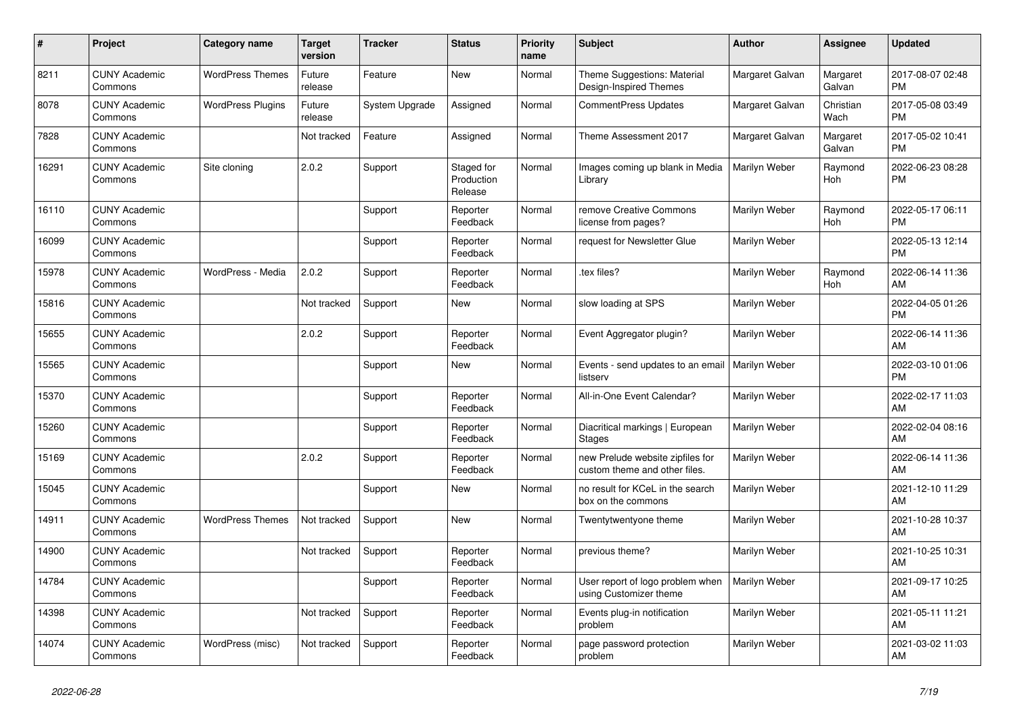| #     | Project                         | <b>Category name</b>     | <b>Target</b><br>version | <b>Tracker</b> | <b>Status</b>                       | <b>Priority</b><br>name | <b>Subject</b>                                                    | Author          | Assignee              | <b>Updated</b>                |
|-------|---------------------------------|--------------------------|--------------------------|----------------|-------------------------------------|-------------------------|-------------------------------------------------------------------|-----------------|-----------------------|-------------------------------|
| 8211  | <b>CUNY Academic</b><br>Commons | <b>WordPress Themes</b>  | Future<br>release        | Feature        | <b>New</b>                          | Normal                  | Theme Suggestions: Material<br>Design-Inspired Themes             | Margaret Galvan | Margaret<br>Galvan    | 2017-08-07 02:48<br><b>PM</b> |
| 8078  | <b>CUNY Academic</b><br>Commons | <b>WordPress Plugins</b> | Future<br>release        | System Upgrade | Assigned                            | Normal                  | CommentPress Updates                                              | Margaret Galvan | Christian<br>Wach     | 2017-05-08 03:49<br><b>PM</b> |
| 7828  | <b>CUNY Academic</b><br>Commons |                          | Not tracked              | Feature        | Assigned                            | Normal                  | Theme Assessment 2017                                             | Margaret Galvan | Margaret<br>Galvan    | 2017-05-02 10:41<br><b>PM</b> |
| 16291 | <b>CUNY Academic</b><br>Commons | Site cloning             | 2.0.2                    | Support        | Staged for<br>Production<br>Release | Normal                  | Images coming up blank in Media<br>Library                        | Marilyn Weber   | Raymond<br>Hoh        | 2022-06-23 08:28<br><b>PM</b> |
| 16110 | <b>CUNY Academic</b><br>Commons |                          |                          | Support        | Reporter<br>Feedback                | Normal                  | remove Creative Commons<br>license from pages?                    | Marilyn Weber   | Raymond<br>Hoh        | 2022-05-17 06:11<br><b>PM</b> |
| 16099 | <b>CUNY Academic</b><br>Commons |                          |                          | Support        | Reporter<br>Feedback                | Normal                  | request for Newsletter Glue                                       | Marilyn Weber   |                       | 2022-05-13 12:14<br><b>PM</b> |
| 15978 | <b>CUNY Academic</b><br>Commons | WordPress - Media        | 2.0.2                    | Support        | Reporter<br>Feedback                | Normal                  | tex files?                                                        | Marilyn Weber   | Raymond<br><b>Hoh</b> | 2022-06-14 11:36<br>AM        |
| 15816 | <b>CUNY Academic</b><br>Commons |                          | Not tracked              | Support        | New                                 | Normal                  | slow loading at SPS                                               | Marilyn Weber   |                       | 2022-04-05 01:26<br><b>PM</b> |
| 15655 | <b>CUNY Academic</b><br>Commons |                          | 2.0.2                    | Support        | Reporter<br>Feedback                | Normal                  | Event Aggregator plugin?                                          | Marilyn Weber   |                       | 2022-06-14 11:36<br>AM        |
| 15565 | <b>CUNY Academic</b><br>Commons |                          |                          | Support        | <b>New</b>                          | Normal                  | Events - send updates to an email<br>listserv                     | Marilyn Weber   |                       | 2022-03-10 01:06<br><b>PM</b> |
| 15370 | <b>CUNY Academic</b><br>Commons |                          |                          | Support        | Reporter<br>Feedback                | Normal                  | All-in-One Event Calendar?                                        | Marilyn Weber   |                       | 2022-02-17 11:03<br>AM        |
| 15260 | <b>CUNY Academic</b><br>Commons |                          |                          | Support        | Reporter<br>Feedback                | Normal                  | Diacritical markings   European<br><b>Stages</b>                  | Marilyn Weber   |                       | 2022-02-04 08:16<br>AM        |
| 15169 | <b>CUNY Academic</b><br>Commons |                          | 2.0.2                    | Support        | Reporter<br>Feedback                | Normal                  | new Prelude website zipfiles for<br>custom theme and other files. | Marilyn Weber   |                       | 2022-06-14 11:36<br>AM        |
| 15045 | <b>CUNY Academic</b><br>Commons |                          |                          | Support        | New                                 | Normal                  | no result for KCeL in the search<br>box on the commons            | Marilyn Weber   |                       | 2021-12-10 11:29<br>AM        |
| 14911 | <b>CUNY Academic</b><br>Commons | <b>WordPress Themes</b>  | Not tracked              | Support        | New                                 | Normal                  | Twentytwentyone theme                                             | Marilyn Weber   |                       | 2021-10-28 10:37<br>AM        |
| 14900 | <b>CUNY Academic</b><br>Commons |                          | Not tracked              | Support        | Reporter<br>Feedback                | Normal                  | previous theme?                                                   | Marilyn Weber   |                       | 2021-10-25 10:31<br>AM        |
| 14784 | <b>CUNY Academic</b><br>Commons |                          |                          | Support        | Reporter<br>Feedback                | Normal                  | User report of logo problem when<br>using Customizer theme        | Marilyn Weber   |                       | 2021-09-17 10:25<br>AM        |
| 14398 | <b>CUNY Academic</b><br>Commons |                          | Not tracked              | Support        | Reporter<br>Feedback                | Normal                  | Events plug-in notification<br>problem                            | Marilyn Weber   |                       | 2021-05-11 11:21<br>AM        |
| 14074 | <b>CUNY Academic</b><br>Commons | WordPress (misc)         | Not tracked              | Support        | Reporter<br>Feedback                | Normal                  | page password protection<br>problem                               | Marilyn Weber   |                       | 2021-03-02 11:03<br>AM        |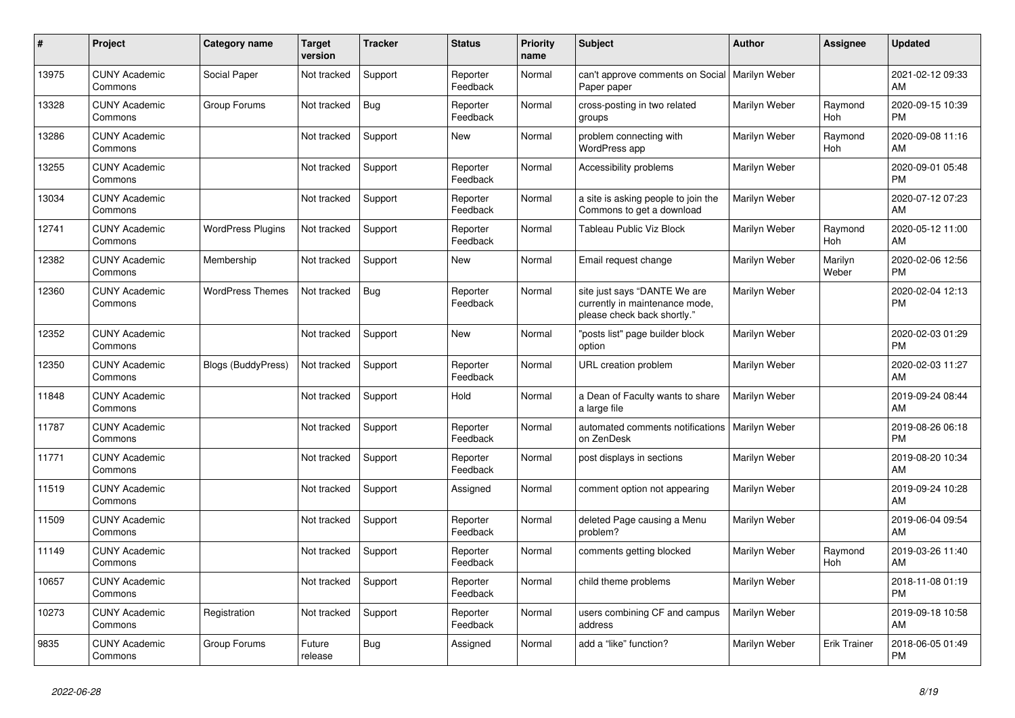| #     | <b>Project</b>                  | Category name             | <b>Target</b><br>version | Tracker    | <b>Status</b>        | <b>Priority</b><br>name | <b>Subject</b>                                                                                | <b>Author</b> | <b>Assignee</b>       | <b>Updated</b>                |
|-------|---------------------------------|---------------------------|--------------------------|------------|----------------------|-------------------------|-----------------------------------------------------------------------------------------------|---------------|-----------------------|-------------------------------|
| 13975 | <b>CUNY Academic</b><br>Commons | Social Paper              | Not tracked              | Support    | Reporter<br>Feedback | Normal                  | can't approve comments on Social   Marilyn Weber<br>Paper paper                               |               |                       | 2021-02-12 09:33<br>AM        |
| 13328 | <b>CUNY Academic</b><br>Commons | Group Forums              | Not tracked              | <b>Bug</b> | Reporter<br>Feedback | Normal                  | cross-posting in two related<br>groups                                                        | Marilyn Weber | Raymond<br>Hoh        | 2020-09-15 10:39<br><b>PM</b> |
| 13286 | <b>CUNY Academic</b><br>Commons |                           | Not tracked              | Support    | New                  | Normal                  | problem connecting with<br>WordPress app                                                      | Marilyn Weber | Raymond<br><b>Hoh</b> | 2020-09-08 11:16<br>AM        |
| 13255 | <b>CUNY Academic</b><br>Commons |                           | Not tracked              | Support    | Reporter<br>Feedback | Normal                  | Accessibility problems                                                                        | Marilyn Weber |                       | 2020-09-01 05:48<br><b>PM</b> |
| 13034 | <b>CUNY Academic</b><br>Commons |                           | Not tracked              | Support    | Reporter<br>Feedback | Normal                  | a site is asking people to join the<br>Commons to get a download                              | Marilyn Weber |                       | 2020-07-12 07:23<br>AM        |
| 12741 | <b>CUNY Academic</b><br>Commons | <b>WordPress Plugins</b>  | Not tracked              | Support    | Reporter<br>Feedback | Normal                  | Tableau Public Viz Block                                                                      | Marilyn Weber | Raymond<br>Hoh        | 2020-05-12 11:00<br>AM        |
| 12382 | <b>CUNY Academic</b><br>Commons | Membership                | Not tracked              | Support    | <b>New</b>           | Normal                  | Email request change                                                                          | Marilyn Weber | Marilyn<br>Weber      | 2020-02-06 12:56<br><b>PM</b> |
| 12360 | <b>CUNY Academic</b><br>Commons | <b>WordPress Themes</b>   | Not tracked              | Bug        | Reporter<br>Feedback | Normal                  | site just says "DANTE We are<br>currently in maintenance mode,<br>please check back shortly." | Marilyn Weber |                       | 2020-02-04 12:13<br><b>PM</b> |
| 12352 | <b>CUNY Academic</b><br>Commons |                           | Not tracked              | Support    | <b>New</b>           | Normal                  | "posts list" page builder block<br>option                                                     | Marilyn Weber |                       | 2020-02-03 01:29<br><b>PM</b> |
| 12350 | <b>CUNY Academic</b><br>Commons | <b>Blogs (BuddyPress)</b> | Not tracked              | Support    | Reporter<br>Feedback | Normal                  | URL creation problem                                                                          | Marilyn Weber |                       | 2020-02-03 11:27<br>AM        |
| 11848 | <b>CUNY Academic</b><br>Commons |                           | Not tracked              | Support    | Hold                 | Normal                  | a Dean of Faculty wants to share<br>a large file                                              | Marilyn Weber |                       | 2019-09-24 08:44<br>AM        |
| 11787 | <b>CUNY Academic</b><br>Commons |                           | Not tracked              | Support    | Reporter<br>Feedback | Normal                  | automated comments notifications   Marilyn Weber<br>on ZenDesk                                |               |                       | 2019-08-26 06:18<br><b>PM</b> |
| 11771 | <b>CUNY Academic</b><br>Commons |                           | Not tracked              | Support    | Reporter<br>Feedback | Normal                  | post displays in sections                                                                     | Marilyn Weber |                       | 2019-08-20 10:34<br>AM        |
| 11519 | <b>CUNY Academic</b><br>Commons |                           | Not tracked              | Support    | Assigned             | Normal                  | comment option not appearing                                                                  | Marilyn Weber |                       | 2019-09-24 10:28<br>AM        |
| 11509 | <b>CUNY Academic</b><br>Commons |                           | Not tracked              | Support    | Reporter<br>Feedback | Normal                  | deleted Page causing a Menu<br>problem?                                                       | Marilyn Weber |                       | 2019-06-04 09:54<br>AM        |
| 11149 | <b>CUNY Academic</b><br>Commons |                           | Not tracked              | Support    | Reporter<br>Feedback | Normal                  | comments getting blocked                                                                      | Marilyn Weber | Raymond<br>Hoh        | 2019-03-26 11:40<br>AM        |
| 10657 | <b>CUNY Academic</b><br>Commons |                           | Not tracked              | Support    | Reporter<br>Feedback | Normal                  | child theme problems                                                                          | Marilyn Weber |                       | 2018-11-08 01:19<br><b>PM</b> |
| 10273 | <b>CUNY Academic</b><br>Commons | Registration              | Not tracked              | Support    | Reporter<br>Feedback | Normal                  | users combining CF and campus<br>address                                                      | Marilyn Weber |                       | 2019-09-18 10:58<br>AM        |
| 9835  | <b>CUNY Academic</b><br>Commons | Group Forums              | Future<br>release        | Bug        | Assigned             | Normal                  | add a "like" function?                                                                        | Marilyn Weber | <b>Erik Trainer</b>   | 2018-06-05 01:49<br><b>PM</b> |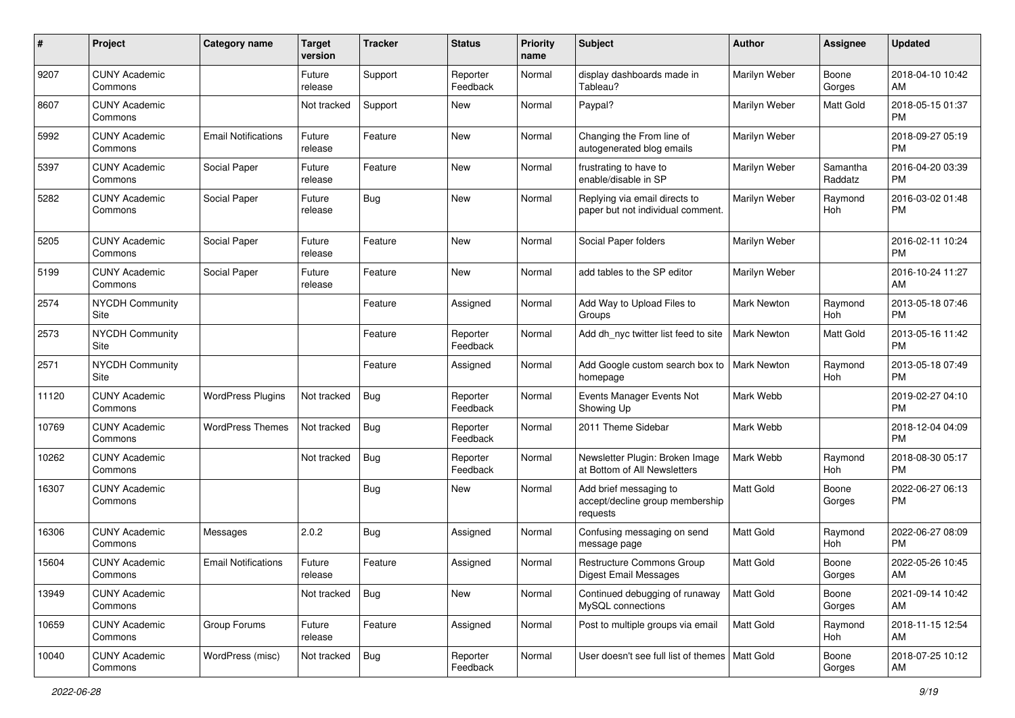| #     | Project                         | <b>Category name</b>       | <b>Target</b><br>version | <b>Tracker</b> | <b>Status</b>        | <b>Priority</b><br>name | Subject                                                               | Author             | <b>Assignee</b>     | <b>Updated</b>                |
|-------|---------------------------------|----------------------------|--------------------------|----------------|----------------------|-------------------------|-----------------------------------------------------------------------|--------------------|---------------------|-------------------------------|
| 9207  | <b>CUNY Academic</b><br>Commons |                            | Future<br>release        | Support        | Reporter<br>Feedback | Normal                  | display dashboards made in<br>Tableau?                                | Marilyn Weber      | Boone<br>Gorges     | 2018-04-10 10:42<br>AM        |
| 8607  | <b>CUNY Academic</b><br>Commons |                            | Not tracked              | Support        | New                  | Normal                  | Paypal?                                                               | Marilyn Weber      | Matt Gold           | 2018-05-15 01:37<br><b>PM</b> |
| 5992  | <b>CUNY Academic</b><br>Commons | <b>Email Notifications</b> | Future<br>release        | Feature        | New                  | Normal                  | Changing the From line of<br>autogenerated blog emails                | Marilyn Weber      |                     | 2018-09-27 05:19<br><b>PM</b> |
| 5397  | <b>CUNY Academic</b><br>Commons | Social Paper               | Future<br>release        | Feature        | New                  | Normal                  | frustrating to have to<br>enable/disable in SP                        | Marilyn Weber      | Samantha<br>Raddatz | 2016-04-20 03:39<br>PM        |
| 5282  | <b>CUNY Academic</b><br>Commons | Social Paper               | Future<br>release        | <b>Bug</b>     | New                  | Normal                  | Replying via email directs to<br>paper but not individual comment.    | Marilyn Weber      | Raymond<br>Hoh      | 2016-03-02 01:48<br><b>PM</b> |
| 5205  | <b>CUNY Academic</b><br>Commons | Social Paper               | Future<br>release        | Feature        | New                  | Normal                  | Social Paper folders                                                  | Marilyn Weber      |                     | 2016-02-11 10:24<br><b>PM</b> |
| 5199  | <b>CUNY Academic</b><br>Commons | Social Paper               | Future<br>release        | Feature        | New                  | Normal                  | add tables to the SP editor                                           | Marilyn Weber      |                     | 2016-10-24 11:27<br>AM        |
| 2574  | <b>NYCDH Community</b><br>Site  |                            |                          | Feature        | Assigned             | Normal                  | Add Way to Upload Files to<br>Groups                                  | Mark Newton        | Raymond<br>Hoh      | 2013-05-18 07:46<br><b>PM</b> |
| 2573  | <b>NYCDH Community</b><br>Site  |                            |                          | Feature        | Reporter<br>Feedback | Normal                  | Add dh nyc twitter list feed to site                                  | Mark Newton        | Matt Gold           | 2013-05-16 11:42<br>PM        |
| 2571  | <b>NYCDH Community</b><br>Site  |                            |                          | Feature        | Assigned             | Normal                  | Add Google custom search box to<br>homepage                           | <b>Mark Newton</b> | Raymond<br>Hoh      | 2013-05-18 07:49<br><b>PM</b> |
| 11120 | <b>CUNY Academic</b><br>Commons | <b>WordPress Plugins</b>   | Not tracked              | <b>Bug</b>     | Reporter<br>Feedback | Normal                  | Events Manager Events Not<br>Showing Up                               | Mark Webb          |                     | 2019-02-27 04:10<br>PM        |
| 10769 | <b>CUNY Academic</b><br>Commons | <b>WordPress Themes</b>    | Not tracked              | Bug            | Reporter<br>Feedback | Normal                  | 2011 Theme Sidebar                                                    | Mark Webb          |                     | 2018-12-04 04:09<br><b>PM</b> |
| 10262 | <b>CUNY Academic</b><br>Commons |                            | Not tracked              | <b>Bug</b>     | Reporter<br>Feedback | Normal                  | Newsletter Plugin: Broken Image<br>at Bottom of All Newsletters       | Mark Webb          | Raymond<br>Hoh      | 2018-08-30 05:17<br><b>PM</b> |
| 16307 | <b>CUNY Academic</b><br>Commons |                            |                          | <b>Bug</b>     | New                  | Normal                  | Add brief messaging to<br>accept/decline group membership<br>requests | Matt Gold          | Boone<br>Gorges     | 2022-06-27 06:13<br>PM        |
| 16306 | <b>CUNY Academic</b><br>Commons | Messages                   | 2.0.2                    | <b>Bug</b>     | Assigned             | Normal                  | Confusing messaging on send<br>message page                           | Matt Gold          | Raymond<br>Hoh      | 2022-06-27 08:09<br>PM        |
| 15604 | <b>CUNY Academic</b><br>Commons | <b>Email Notifications</b> | Future<br>release        | Feature        | Assigned             | Normal                  | <b>Restructure Commons Group</b><br><b>Digest Email Messages</b>      | <b>Matt Gold</b>   | Boone<br>Gorges     | 2022-05-26 10:45<br>AM        |
| 13949 | <b>CUNY Academic</b><br>Commons |                            | Not tracked              | Bug            | New                  | Normal                  | Continued debugging of runaway<br>MySQL connections                   | Matt Gold          | Boone<br>Gorges     | 2021-09-14 10:42<br>AM        |
| 10659 | <b>CUNY Academic</b><br>Commons | Group Forums               | Future<br>release        | Feature        | Assigned             | Normal                  | Post to multiple groups via email                                     | Matt Gold          | Raymond<br>Hoh      | 2018-11-15 12:54<br>AM        |
| 10040 | <b>CUNY Academic</b><br>Commons | WordPress (misc)           | Not tracked              | Bug            | Reporter<br>Feedback | Normal                  | User doesn't see full list of themes   Matt Gold                      |                    | Boone<br>Gorges     | 2018-07-25 10:12<br>AM        |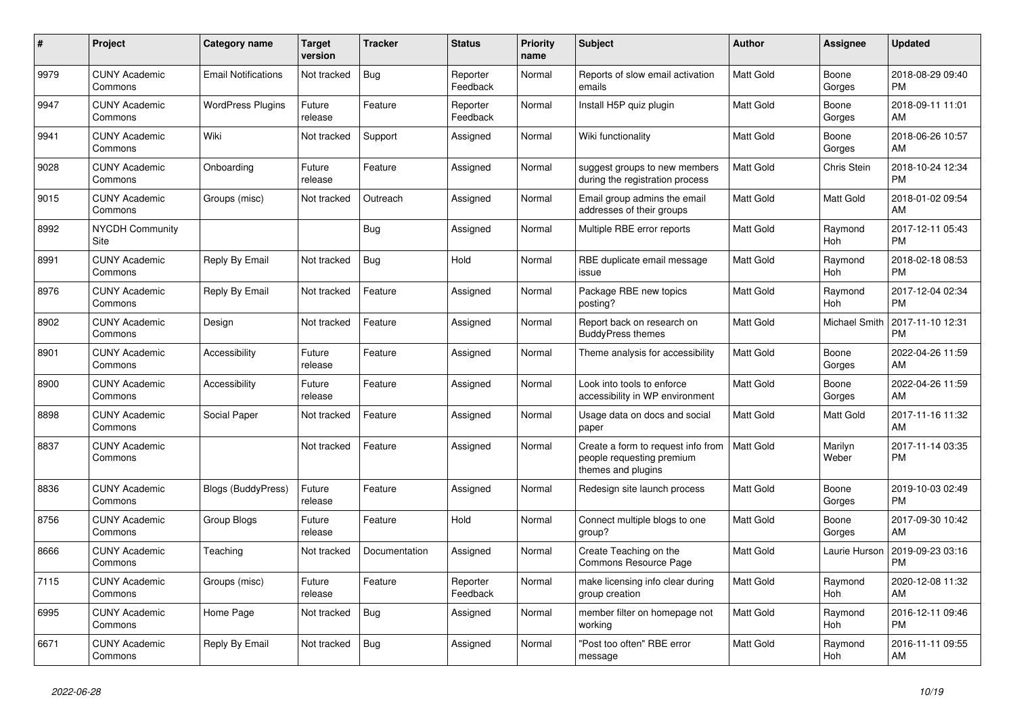| #    | <b>Project</b>                  | <b>Category name</b>       | Target<br>version | <b>Tracker</b> | <b>Status</b>        | <b>Priority</b><br>name | <b>Subject</b>                                                                        | <b>Author</b>    | <b>Assignee</b>       | <b>Updated</b>                |
|------|---------------------------------|----------------------------|-------------------|----------------|----------------------|-------------------------|---------------------------------------------------------------------------------------|------------------|-----------------------|-------------------------------|
| 9979 | <b>CUNY Academic</b><br>Commons | <b>Email Notifications</b> | Not tracked       | Bug            | Reporter<br>Feedback | Normal                  | Reports of slow email activation<br>emails                                            | <b>Matt Gold</b> | Boone<br>Gorges       | 2018-08-29 09:40<br><b>PM</b> |
| 9947 | <b>CUNY Academic</b><br>Commons | <b>WordPress Plugins</b>   | Future<br>release | Feature        | Reporter<br>Feedback | Normal                  | Install H5P quiz plugin                                                               | <b>Matt Gold</b> | Boone<br>Gorges       | 2018-09-11 11:01<br>AM        |
| 9941 | <b>CUNY Academic</b><br>Commons | Wiki                       | Not tracked       | Support        | Assigned             | Normal                  | Wiki functionality                                                                    | Matt Gold        | Boone<br>Gorges       | 2018-06-26 10:57<br>AM        |
| 9028 | <b>CUNY Academic</b><br>Commons | Onboarding                 | Future<br>release | Feature        | Assigned             | Normal                  | suggest groups to new members<br>during the registration process                      | <b>Matt Gold</b> | Chris Stein           | 2018-10-24 12:34<br><b>PM</b> |
| 9015 | <b>CUNY Academic</b><br>Commons | Groups (misc)              | Not tracked       | Outreach       | Assigned             | Normal                  | Email group admins the email<br>addresses of their groups                             | Matt Gold        | <b>Matt Gold</b>      | 2018-01-02 09:54<br>AM        |
| 8992 | <b>NYCDH Community</b><br>Site  |                            |                   | <b>Bug</b>     | Assigned             | Normal                  | Multiple RBE error reports                                                            | <b>Matt Gold</b> | Raymond<br>Hoh        | 2017-12-11 05:43<br><b>PM</b> |
| 8991 | <b>CUNY Academic</b><br>Commons | Reply By Email             | Not tracked       | <b>Bug</b>     | Hold                 | Normal                  | RBE duplicate email message<br>issue                                                  | <b>Matt Gold</b> | Raymond<br><b>Hoh</b> | 2018-02-18 08:53<br><b>PM</b> |
| 8976 | <b>CUNY Academic</b><br>Commons | Reply By Email             | Not tracked       | Feature        | Assigned             | Normal                  | Package RBE new topics<br>posting?                                                    | Matt Gold        | Raymond<br>Hoh        | 2017-12-04 02:34<br><b>PM</b> |
| 8902 | <b>CUNY Academic</b><br>Commons | Design                     | Not tracked       | Feature        | Assigned             | Normal                  | Report back on research on<br><b>BuddyPress themes</b>                                | Matt Gold        | Michael Smith         | 2017-11-10 12:31<br><b>PM</b> |
| 8901 | <b>CUNY Academic</b><br>Commons | Accessibility              | Future<br>release | Feature        | Assigned             | Normal                  | Theme analysis for accessibility                                                      | <b>Matt Gold</b> | Boone<br>Gorges       | 2022-04-26 11:59<br>AM        |
| 8900 | <b>CUNY Academic</b><br>Commons | Accessibility              | Future<br>release | Feature        | Assigned             | Normal                  | Look into tools to enforce<br>accessibility in WP environment                         | Matt Gold        | Boone<br>Gorges       | 2022-04-26 11:59<br>AM        |
| 8898 | <b>CUNY Academic</b><br>Commons | Social Paper               | Not tracked       | Feature        | Assigned             | Normal                  | Usage data on docs and social<br>paper                                                | Matt Gold        | <b>Matt Gold</b>      | 2017-11-16 11:32<br>AM        |
| 8837 | <b>CUNY Academic</b><br>Commons |                            | Not tracked       | Feature        | Assigned             | Normal                  | Create a form to request info from<br>people requesting premium<br>themes and plugins | <b>Matt Gold</b> | Marilyn<br>Weber      | 2017-11-14 03:35<br><b>PM</b> |
| 8836 | <b>CUNY Academic</b><br>Commons | Blogs (BuddyPress)         | Future<br>release | Feature        | Assigned             | Normal                  | Redesign site launch process                                                          | Matt Gold        | Boone<br>Gorges       | 2019-10-03 02:49<br><b>PM</b> |
| 8756 | <b>CUNY Academic</b><br>Commons | Group Blogs                | Future<br>release | Feature        | Hold                 | Normal                  | Connect multiple blogs to one<br>group?                                               | <b>Matt Gold</b> | Boone<br>Gorges       | 2017-09-30 10:42<br>AM        |
| 8666 | <b>CUNY Academic</b><br>Commons | Teaching                   | Not tracked       | Documentation  | Assigned             | Normal                  | Create Teaching on the<br><b>Commons Resource Page</b>                                | <b>Matt Gold</b> | Laurie Hurson         | 2019-09-23 03:16<br><b>PM</b> |
| 7115 | <b>CUNY Academic</b><br>Commons | Groups (misc)              | Future<br>release | Feature        | Reporter<br>Feedback | Normal                  | make licensing info clear during<br>group creation                                    | <b>Matt Gold</b> | Raymond<br>Hoh        | 2020-12-08 11:32<br>AM        |
| 6995 | <b>CUNY Academic</b><br>Commons | Home Page                  | Not tracked       | Bug            | Assigned             | Normal                  | member filter on homepage not<br>working                                              | Matt Gold        | Raymond<br>Hoh        | 2016-12-11 09:46<br><b>PM</b> |
| 6671 | <b>CUNY Academic</b><br>Commons | Reply By Email             | Not tracked       | <b>Bug</b>     | Assigned             | Normal                  | "Post too often" RBE error<br>message                                                 | Matt Gold        | Raymond<br>Hoh        | 2016-11-11 09:55<br>AM        |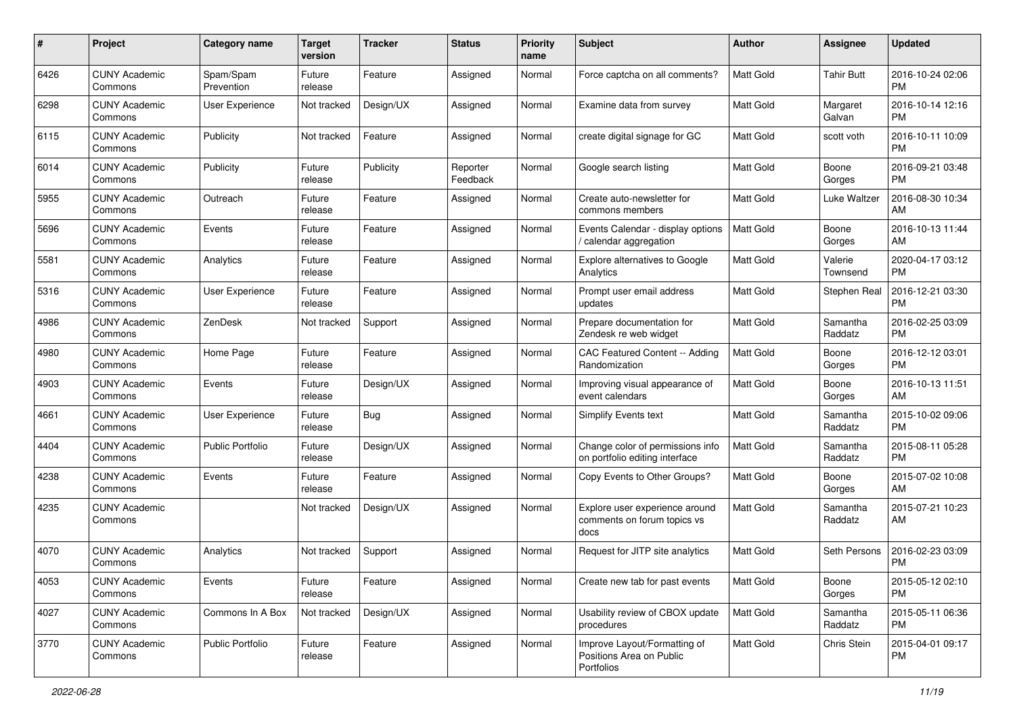| #    | Project                         | <b>Category name</b>    | <b>Target</b><br>version | <b>Tracker</b> | <b>Status</b>        | <b>Priority</b><br>name | <b>Subject</b>                                                         | Author           | <b>Assignee</b>     | <b>Updated</b>                |
|------|---------------------------------|-------------------------|--------------------------|----------------|----------------------|-------------------------|------------------------------------------------------------------------|------------------|---------------------|-------------------------------|
| 6426 | <b>CUNY Academic</b><br>Commons | Spam/Spam<br>Prevention | Future<br>release        | Feature        | Assigned             | Normal                  | Force captcha on all comments?                                         | <b>Matt Gold</b> | <b>Tahir Butt</b>   | 2016-10-24 02:06<br><b>PM</b> |
| 6298 | <b>CUNY Academic</b><br>Commons | User Experience         | Not tracked              | Design/UX      | Assigned             | Normal                  | Examine data from survey                                               | <b>Matt Gold</b> | Margaret<br>Galvan  | 2016-10-14 12:16<br><b>PM</b> |
| 6115 | <b>CUNY Academic</b><br>Commons | Publicity               | Not tracked              | Feature        | Assigned             | Normal                  | create digital signage for GC                                          | <b>Matt Gold</b> | scott voth          | 2016-10-11 10:09<br><b>PM</b> |
| 6014 | <b>CUNY Academic</b><br>Commons | Publicity               | Future<br>release        | Publicity      | Reporter<br>Feedback | Normal                  | Google search listing                                                  | Matt Gold        | Boone<br>Gorges     | 2016-09-21 03:48<br><b>PM</b> |
| 5955 | <b>CUNY Academic</b><br>Commons | Outreach                | Future<br>release        | Feature        | Assigned             | Normal                  | Create auto-newsletter for<br>commons members                          | <b>Matt Gold</b> | Luke Waltzer        | 2016-08-30 10:34<br>AM        |
| 5696 | <b>CUNY Academic</b><br>Commons | Events                  | Future<br>release        | Feature        | Assigned             | Normal                  | Events Calendar - display options<br>/ calendar aggregation            | <b>Matt Gold</b> | Boone<br>Gorges     | 2016-10-13 11:44<br>AM        |
| 5581 | <b>CUNY Academic</b><br>Commons | Analytics               | Future<br>release        | Feature        | Assigned             | Normal                  | <b>Explore alternatives to Google</b><br>Analytics                     | <b>Matt Gold</b> | Valerie<br>Townsend | 2020-04-17 03:12<br><b>PM</b> |
| 5316 | <b>CUNY Academic</b><br>Commons | User Experience         | Future<br>release        | Feature        | Assigned             | Normal                  | Prompt user email address<br>updates                                   | <b>Matt Gold</b> | Stephen Real        | 2016-12-21 03:30<br><b>PM</b> |
| 4986 | <b>CUNY Academic</b><br>Commons | ZenDesk                 | Not tracked              | Support        | Assigned             | Normal                  | Prepare documentation for<br>Zendesk re web widget                     | <b>Matt Gold</b> | Samantha<br>Raddatz | 2016-02-25 03:09<br><b>PM</b> |
| 4980 | <b>CUNY Academic</b><br>Commons | Home Page               | Future<br>release        | Feature        | Assigned             | Normal                  | CAC Featured Content -- Adding<br>Randomization                        | <b>Matt Gold</b> | Boone<br>Gorges     | 2016-12-12 03:01<br><b>PM</b> |
| 4903 | <b>CUNY Academic</b><br>Commons | Events                  | Future<br>release        | Design/UX      | Assigned             | Normal                  | Improving visual appearance of<br>event calendars                      | Matt Gold        | Boone<br>Gorges     | 2016-10-13 11:51<br>AM        |
| 4661 | <b>CUNY Academic</b><br>Commons | <b>User Experience</b>  | Future<br>release        | <b>Bug</b>     | Assigned             | Normal                  | <b>Simplify Events text</b>                                            | Matt Gold        | Samantha<br>Raddatz | 2015-10-02 09:06<br><b>PM</b> |
| 4404 | <b>CUNY Academic</b><br>Commons | <b>Public Portfolio</b> | Future<br>release        | Design/UX      | Assigned             | Normal                  | Change color of permissions info<br>on portfolio editing interface     | <b>Matt Gold</b> | Samantha<br>Raddatz | 2015-08-11 05:28<br><b>PM</b> |
| 4238 | <b>CUNY Academic</b><br>Commons | Events                  | Future<br>release        | Feature        | Assigned             | Normal                  | Copy Events to Other Groups?                                           | <b>Matt Gold</b> | Boone<br>Gorges     | 2015-07-02 10:08<br>AM        |
| 4235 | <b>CUNY Academic</b><br>Commons |                         | Not tracked              | Design/UX      | Assigned             | Normal                  | Explore user experience around<br>comments on forum topics vs<br>docs  | Matt Gold        | Samantha<br>Raddatz | 2015-07-21 10:23<br>AM        |
| 4070 | <b>CUNY Academic</b><br>Commons | Analytics               | Not tracked              | Support        | Assigned             | Normal                  | Request for JITP site analytics                                        | <b>Matt Gold</b> | Seth Persons        | 2016-02-23 03:09<br><b>PM</b> |
| 4053 | <b>CUNY Academic</b><br>Commons | Events                  | Future<br>release        | Feature        | Assigned             | Normal                  | Create new tab for past events                                         | Matt Gold        | Boone<br>Gorges     | 2015-05-12 02:10<br><b>PM</b> |
| 4027 | <b>CUNY Academic</b><br>Commons | Commons In A Box        | Not tracked              | Design/UX      | Assigned             | Normal                  | Usability review of CBOX update<br>procedures                          | Matt Gold        | Samantha<br>Raddatz | 2015-05-11 06:36<br>PM        |
| 3770 | <b>CUNY Academic</b><br>Commons | Public Portfolio        | Future<br>release        | Feature        | Assigned             | Normal                  | Improve Layout/Formatting of<br>Positions Area on Public<br>Portfolios | Matt Gold        | Chris Stein         | 2015-04-01 09:17<br>PM        |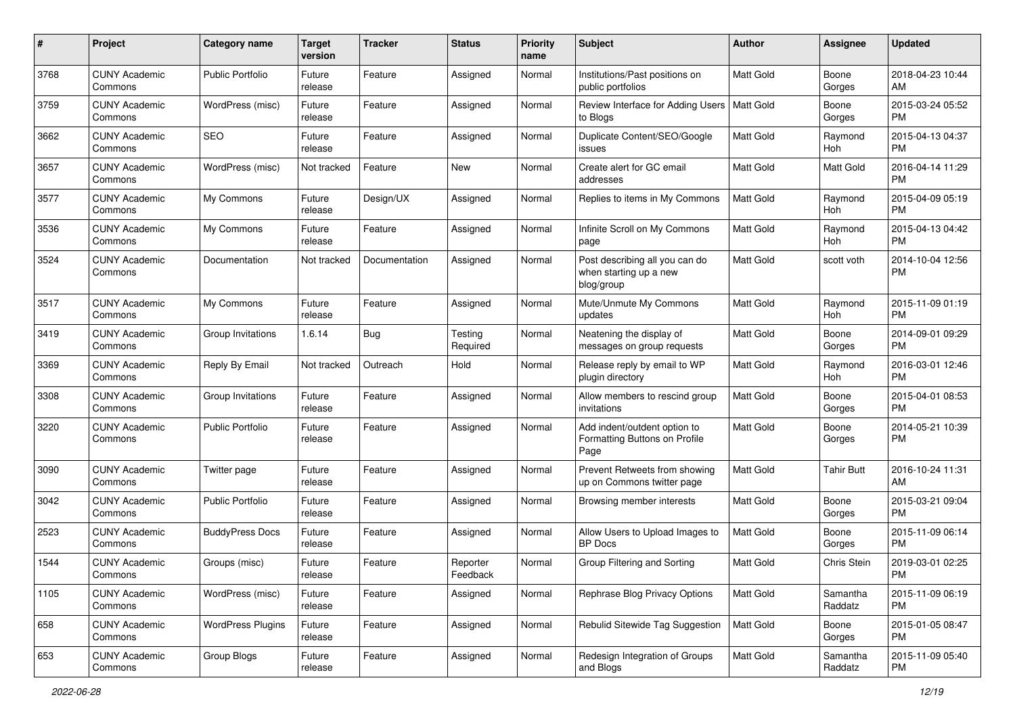| #    | Project                         | <b>Category name</b>     | <b>Target</b><br>version | <b>Tracker</b> | <b>Status</b>        | <b>Priority</b><br>name | Subject                                                                | <b>Author</b>    | <b>Assignee</b>     | <b>Updated</b>                |
|------|---------------------------------|--------------------------|--------------------------|----------------|----------------------|-------------------------|------------------------------------------------------------------------|------------------|---------------------|-------------------------------|
| 3768 | <b>CUNY Academic</b><br>Commons | <b>Public Portfolio</b>  | Future<br>release        | Feature        | Assigned             | Normal                  | Institutions/Past positions on<br>public portfolios                    | Matt Gold        | Boone<br>Gorges     | 2018-04-23 10:44<br>AM        |
| 3759 | <b>CUNY Academic</b><br>Commons | WordPress (misc)         | Future<br>release        | Feature        | Assigned             | Normal                  | Review Interface for Adding Users   Matt Gold<br>to Blogs              |                  | Boone<br>Gorges     | 2015-03-24 05:52<br><b>PM</b> |
| 3662 | <b>CUNY Academic</b><br>Commons | <b>SEO</b>               | Future<br>release        | Feature        | Assigned             | Normal                  | Duplicate Content/SEO/Google<br>issues                                 | Matt Gold        | Raymond<br>Hoh      | 2015-04-13 04:37<br><b>PM</b> |
| 3657 | <b>CUNY Academic</b><br>Commons | WordPress (misc)         | Not tracked              | Feature        | <b>New</b>           | Normal                  | Create alert for GC email<br>addresses                                 | <b>Matt Gold</b> | <b>Matt Gold</b>    | 2016-04-14 11:29<br><b>PM</b> |
| 3577 | <b>CUNY Academic</b><br>Commons | My Commons               | Future<br>release        | Design/UX      | Assigned             | Normal                  | Replies to items in My Commons                                         | <b>Matt Gold</b> | Raymond<br>Hoh      | 2015-04-09 05:19<br><b>PM</b> |
| 3536 | <b>CUNY Academic</b><br>Commons | My Commons               | Future<br>release        | Feature        | Assigned             | Normal                  | Infinite Scroll on My Commons<br>page                                  | Matt Gold        | Raymond<br>Hoh      | 2015-04-13 04:42<br><b>PM</b> |
| 3524 | <b>CUNY Academic</b><br>Commons | Documentation            | Not tracked              | Documentation  | Assigned             | Normal                  | Post describing all you can do<br>when starting up a new<br>blog/group | Matt Gold        | scott voth          | 2014-10-04 12:56<br><b>PM</b> |
| 3517 | <b>CUNY Academic</b><br>Commons | My Commons               | Future<br>release        | Feature        | Assigned             | Normal                  | Mute/Unmute My Commons<br>updates                                      | Matt Gold        | Raymond<br>Hoh      | 2015-11-09 01:19<br><b>PM</b> |
| 3419 | <b>CUNY Academic</b><br>Commons | Group Invitations        | 1.6.14                   | <b>Bug</b>     | Testing<br>Required  | Normal                  | Neatening the display of<br>messages on group requests                 | Matt Gold        | Boone<br>Gorges     | 2014-09-01 09:29<br><b>PM</b> |
| 3369 | <b>CUNY Academic</b><br>Commons | Reply By Email           | Not tracked              | Outreach       | Hold                 | Normal                  | Release reply by email to WP<br>plugin directory                       | Matt Gold        | Raymond<br>Hoh      | 2016-03-01 12:46<br><b>PM</b> |
| 3308 | <b>CUNY Academic</b><br>Commons | Group Invitations        | Future<br>release        | Feature        | Assigned             | Normal                  | Allow members to rescind group<br>invitations                          | Matt Gold        | Boone<br>Gorges     | 2015-04-01 08:53<br><b>PM</b> |
| 3220 | <b>CUNY Academic</b><br>Commons | Public Portfolio         | Future<br>release        | Feature        | Assigned             | Normal                  | Add indent/outdent option to<br>Formatting Buttons on Profile<br>Page  | Matt Gold        | Boone<br>Gorges     | 2014-05-21 10:39<br><b>PM</b> |
| 3090 | <b>CUNY Academic</b><br>Commons | Twitter page             | Future<br>release        | Feature        | Assigned             | Normal                  | Prevent Retweets from showing<br>up on Commons twitter page            | <b>Matt Gold</b> | <b>Tahir Butt</b>   | 2016-10-24 11:31<br>AM        |
| 3042 | <b>CUNY Academic</b><br>Commons | Public Portfolio         | Future<br>release        | Feature        | Assigned             | Normal                  | Browsing member interests                                              | Matt Gold        | Boone<br>Gorges     | 2015-03-21 09:04<br><b>PM</b> |
| 2523 | <b>CUNY Academic</b><br>Commons | <b>BuddyPress Docs</b>   | Future<br>release        | Feature        | Assigned             | Normal                  | Allow Users to Upload Images to<br><b>BP</b> Docs                      | Matt Gold        | Boone<br>Gorges     | 2015-11-09 06:14<br>PM        |
| 1544 | <b>CUNY Academic</b><br>Commons | Groups (misc)            | Future<br>release        | Feature        | Reporter<br>Feedback | Normal                  | Group Filtering and Sorting                                            | Matt Gold        | Chris Stein         | 2019-03-01 02:25<br>PM        |
| 1105 | <b>CUNY Academic</b><br>Commons | WordPress (misc)         | Future<br>release        | Feature        | Assigned             | Normal                  | Rephrase Blog Privacy Options                                          | Matt Gold        | Samantha<br>Raddatz | 2015-11-09 06:19<br><b>PM</b> |
| 658  | <b>CUNY Academic</b><br>Commons | <b>WordPress Plugins</b> | Future<br>release        | Feature        | Assigned             | Normal                  | Rebulid Sitewide Tag Suggestion                                        | <b>Matt Gold</b> | Boone<br>Gorges     | 2015-01-05 08:47<br><b>PM</b> |
| 653  | <b>CUNY Academic</b><br>Commons | Group Blogs              | Future<br>release        | Feature        | Assigned             | Normal                  | Redesign Integration of Groups<br>and Blogs                            | Matt Gold        | Samantha<br>Raddatz | 2015-11-09 05:40<br>PM        |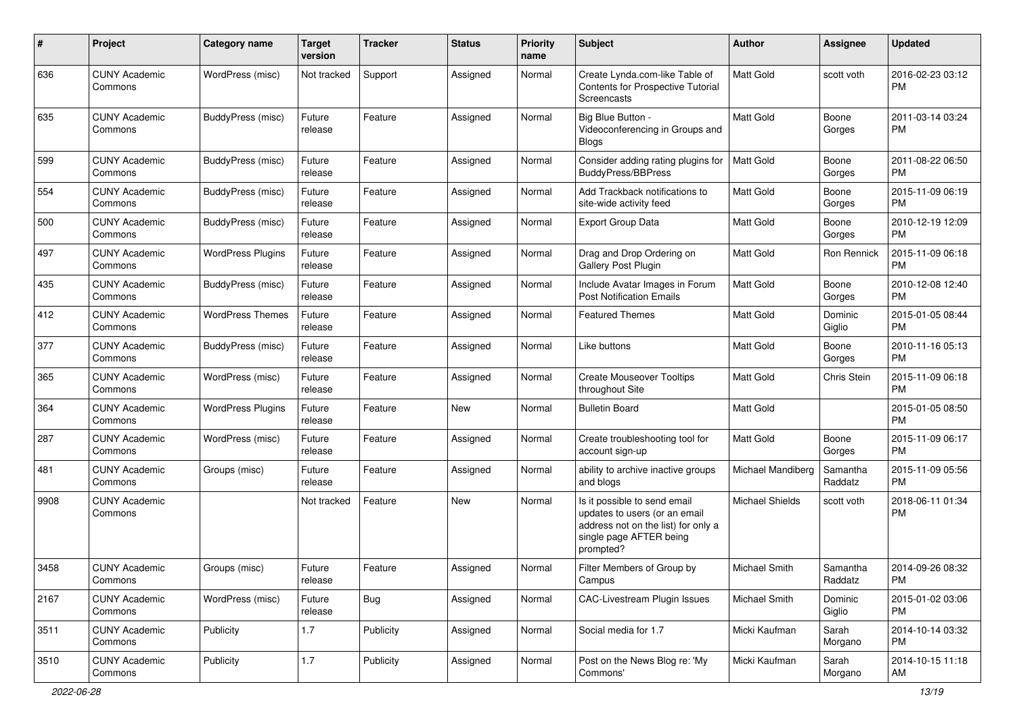| #    | Project                         | <b>Category name</b>     | Target<br>version | <b>Tracker</b> | <b>Status</b> | <b>Priority</b><br>name | Subject                                                                                                                                      | <b>Author</b>          | <b>Assignee</b>     | <b>Updated</b>                |
|------|---------------------------------|--------------------------|-------------------|----------------|---------------|-------------------------|----------------------------------------------------------------------------------------------------------------------------------------------|------------------------|---------------------|-------------------------------|
| 636  | <b>CUNY Academic</b><br>Commons | WordPress (misc)         | Not tracked       | Support        | Assigned      | Normal                  | Create Lynda.com-like Table of<br>Contents for Prospective Tutorial<br>Screencasts                                                           | <b>Matt Gold</b>       | scott voth          | 2016-02-23 03:12<br><b>PM</b> |
| 635  | <b>CUNY Academic</b><br>Commons | <b>BuddyPress (misc)</b> | Future<br>release | Feature        | Assigned      | Normal                  | Big Blue Button -<br>Videoconferencing in Groups and<br><b>Blogs</b>                                                                         | <b>Matt Gold</b>       | Boone<br>Gorges     | 2011-03-14 03:24<br><b>PM</b> |
| 599  | <b>CUNY Academic</b><br>Commons | BuddyPress (misc)        | Future<br>release | Feature        | Assigned      | Normal                  | Consider adding rating plugins for<br><b>BuddyPress/BBPress</b>                                                                              | <b>Matt Gold</b>       | Boone<br>Gorges     | 2011-08-22 06:50<br><b>PM</b> |
| 554  | <b>CUNY Academic</b><br>Commons | BuddyPress (misc)        | Future<br>release | Feature        | Assigned      | Normal                  | Add Trackback notifications to<br>site-wide activity feed                                                                                    | <b>Matt Gold</b>       | Boone<br>Gorges     | 2015-11-09 06:19<br><b>PM</b> |
| 500  | <b>CUNY Academic</b><br>Commons | <b>BuddyPress</b> (misc) | Future<br>release | Feature        | Assigned      | Normal                  | <b>Export Group Data</b>                                                                                                                     | Matt Gold              | Boone<br>Gorges     | 2010-12-19 12:09<br><b>PM</b> |
| 497  | <b>CUNY Academic</b><br>Commons | <b>WordPress Plugins</b> | Future<br>release | Feature        | Assigned      | Normal                  | Drag and Drop Ordering on<br><b>Gallery Post Plugin</b>                                                                                      | <b>Matt Gold</b>       | Ron Rennick         | 2015-11-09 06:18<br><b>PM</b> |
| 435  | <b>CUNY Academic</b><br>Commons | BuddyPress (misc)        | Future<br>release | Feature        | Assigned      | Normal                  | Include Avatar Images in Forum<br><b>Post Notification Emails</b>                                                                            | <b>Matt Gold</b>       | Boone<br>Gorges     | 2010-12-08 12:40<br><b>PM</b> |
| 412  | <b>CUNY Academic</b><br>Commons | <b>WordPress Themes</b>  | Future<br>release | Feature        | Assigned      | Normal                  | <b>Featured Themes</b>                                                                                                                       | <b>Matt Gold</b>       | Dominic<br>Giglio   | 2015-01-05 08:44<br><b>PM</b> |
| 377  | <b>CUNY Academic</b><br>Commons | <b>BuddyPress</b> (misc) | Future<br>release | Feature        | Assigned      | Normal                  | Like buttons                                                                                                                                 | Matt Gold              | Boone<br>Gorges     | 2010-11-16 05:13<br><b>PM</b> |
| 365  | <b>CUNY Academic</b><br>Commons | WordPress (misc)         | Future<br>release | Feature        | Assigned      | Normal                  | <b>Create Mouseover Tooltips</b><br>throughout Site                                                                                          | <b>Matt Gold</b>       | Chris Stein         | 2015-11-09 06:18<br><b>PM</b> |
| 364  | <b>CUNY Academic</b><br>Commons | <b>WordPress Plugins</b> | Future<br>release | Feature        | New           | Normal                  | <b>Bulletin Board</b>                                                                                                                        | <b>Matt Gold</b>       |                     | 2015-01-05 08:50<br><b>PM</b> |
| 287  | <b>CUNY Academic</b><br>Commons | WordPress (misc)         | Future<br>release | Feature        | Assigned      | Normal                  | Create troubleshooting tool for<br>account sign-up                                                                                           | Matt Gold              | Boone<br>Gorges     | 2015-11-09 06:17<br><b>PM</b> |
| 481  | <b>CUNY Academic</b><br>Commons | Groups (misc)            | Future<br>release | Feature        | Assigned      | Normal                  | ability to archive inactive groups<br>and blogs                                                                                              | Michael Mandiberg      | Samantha<br>Raddatz | 2015-11-09 05:56<br><b>PM</b> |
| 9908 | <b>CUNY Academic</b><br>Commons |                          | Not tracked       | Feature        | New           | Normal                  | Is it possible to send email<br>updates to users (or an email<br>address not on the list) for only a<br>single page AFTER being<br>prompted? | <b>Michael Shields</b> | scott voth          | 2018-06-11 01:34<br><b>PM</b> |
| 3458 | <b>CUNY Academic</b><br>Commons | Groups (misc)            | Future<br>release | Feature        | Assigned      | Normal                  | Filter Members of Group by<br>Campus                                                                                                         | <b>Michael Smith</b>   | Samantha<br>Raddatz | 2014-09-26 08:32<br>PM        |
| 2167 | <b>CUNY Academic</b><br>Commons | WordPress (misc)         | Future<br>release | <b>Bug</b>     | Assigned      | Normal                  | CAC-Livestream Plugin Issues                                                                                                                 | Michael Smith          | Dominic<br>Giglio   | 2015-01-02 03:06<br>PM        |
| 3511 | <b>CUNY Academic</b><br>Commons | Publicity                | 1.7               | Publicity      | Assigned      | Normal                  | Social media for 1.7                                                                                                                         | Micki Kaufman          | Sarah<br>Morgano    | 2014-10-14 03:32<br><b>PM</b> |
| 3510 | <b>CUNY Academic</b><br>Commons | Publicity                | 1.7               | Publicity      | Assigned      | Normal                  | Post on the News Blog re: 'My<br>Commons'                                                                                                    | Micki Kaufman          | Sarah<br>Morgano    | 2014-10-15 11:18<br>AM        |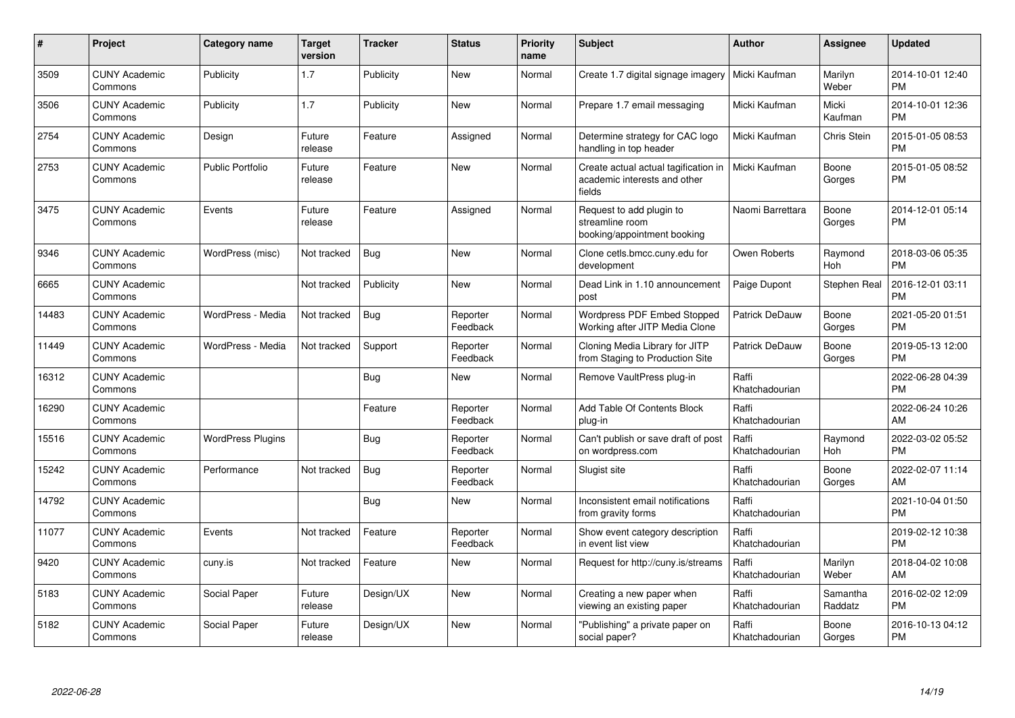| #     | Project                         | <b>Category name</b>     | <b>Target</b><br>version | <b>Tracker</b> | <b>Status</b>        | <b>Priority</b><br>name | <b>Subject</b>                                                                 | <b>Author</b>           | <b>Assignee</b>     | <b>Updated</b>                |
|-------|---------------------------------|--------------------------|--------------------------|----------------|----------------------|-------------------------|--------------------------------------------------------------------------------|-------------------------|---------------------|-------------------------------|
| 3509  | <b>CUNY Academic</b><br>Commons | Publicity                | 1.7                      | Publicity      | <b>New</b>           | Normal                  | Create 1.7 digital signage imagery                                             | Micki Kaufman           | Marilyn<br>Weber    | 2014-10-01 12:40<br><b>PM</b> |
| 3506  | <b>CUNY Academic</b><br>Commons | Publicity                | 1.7                      | Publicity      | New                  | Normal                  | Prepare 1.7 email messaging                                                    | Micki Kaufman           | Micki<br>Kaufman    | 2014-10-01 12:36<br><b>PM</b> |
| 2754  | <b>CUNY Academic</b><br>Commons | Design                   | Future<br>release        | Feature        | Assigned             | Normal                  | Determine strategy for CAC logo<br>handling in top header                      | Micki Kaufman           | Chris Stein         | 2015-01-05 08:53<br><b>PM</b> |
| 2753  | <b>CUNY Academic</b><br>Commons | <b>Public Portfolio</b>  | Future<br>release        | Feature        | <b>New</b>           | Normal                  | Create actual actual tagification in<br>academic interests and other<br>fields | Micki Kaufman           | Boone<br>Gorges     | 2015-01-05 08:52<br><b>PM</b> |
| 3475  | <b>CUNY Academic</b><br>Commons | Events                   | Future<br>release        | Feature        | Assigned             | Normal                  | Request to add plugin to<br>streamline room<br>booking/appointment booking     | Naomi Barrettara        | Boone<br>Gorges     | 2014-12-01 05:14<br><b>PM</b> |
| 9346  | <b>CUNY Academic</b><br>Commons | WordPress (misc)         | Not tracked              | Bug            | <b>New</b>           | Normal                  | Clone cetls.bmcc.cuny.edu for<br>development                                   | Owen Roberts            | Raymond<br>Hoh      | 2018-03-06 05:35<br><b>PM</b> |
| 6665  | <b>CUNY Academic</b><br>Commons |                          | Not tracked              | Publicity      | New                  | Normal                  | Dead Link in 1.10 announcement<br>post                                         | Paige Dupont            | Stephen Real        | 2016-12-01 03:11<br><b>PM</b> |
| 14483 | <b>CUNY Academic</b><br>Commons | WordPress - Media        | Not tracked              | <b>Bug</b>     | Reporter<br>Feedback | Normal                  | Wordpress PDF Embed Stopped<br>Working after JITP Media Clone                  | <b>Patrick DeDauw</b>   | Boone<br>Gorges     | 2021-05-20 01:51<br><b>PM</b> |
| 11449 | <b>CUNY Academic</b><br>Commons | WordPress - Media        | Not tracked              | Support        | Reporter<br>Feedback | Normal                  | Cloning Media Library for JITP<br>from Staging to Production Site              | <b>Patrick DeDauw</b>   | Boone<br>Gorges     | 2019-05-13 12:00<br><b>PM</b> |
| 16312 | <b>CUNY Academic</b><br>Commons |                          |                          | <b>Bug</b>     | New                  | Normal                  | Remove VaultPress plug-in                                                      | Raffi<br>Khatchadourian |                     | 2022-06-28 04:39<br><b>PM</b> |
| 16290 | <b>CUNY Academic</b><br>Commons |                          |                          | Feature        | Reporter<br>Feedback | Normal                  | Add Table Of Contents Block<br>plug-in                                         | Raffi<br>Khatchadourian |                     | 2022-06-24 10:26<br>AM        |
| 15516 | <b>CUNY Academic</b><br>Commons | <b>WordPress Plugins</b> |                          | Bug            | Reporter<br>Feedback | Normal                  | Can't publish or save draft of post<br>on wordpress.com                        | Raffi<br>Khatchadourian | Raymond<br>Hoh      | 2022-03-02 05:52<br><b>PM</b> |
| 15242 | <b>CUNY Academic</b><br>Commons | Performance              | Not tracked              | <b>Bug</b>     | Reporter<br>Feedback | Normal                  | Slugist site                                                                   | Raffi<br>Khatchadourian | Boone<br>Gorges     | 2022-02-07 11:14<br>AM        |
| 14792 | <b>CUNY Academic</b><br>Commons |                          |                          | Bug            | <b>New</b>           | Normal                  | Inconsistent email notifications<br>from gravity forms                         | Raffi<br>Khatchadourian |                     | 2021-10-04 01:50<br><b>PM</b> |
| 11077 | <b>CUNY Academic</b><br>Commons | Events                   | Not tracked              | Feature        | Reporter<br>Feedback | Normal                  | Show event category description<br>in event list view                          | Raffi<br>Khatchadourian |                     | 2019-02-12 10:38<br><b>PM</b> |
| 9420  | <b>CUNY Academic</b><br>Commons | cuny.is                  | Not tracked              | Feature        | <b>New</b>           | Normal                  | Request for http://cuny.is/streams                                             | Raffi<br>Khatchadourian | Marilyn<br>Weber    | 2018-04-02 10:08<br>AM        |
| 5183  | <b>CUNY Academic</b><br>Commons | Social Paper             | Future<br>release        | Design/UX      | <b>New</b>           | Normal                  | Creating a new paper when<br>viewing an existing paper                         | Raffi<br>Khatchadourian | Samantha<br>Raddatz | 2016-02-02 12:09<br><b>PM</b> |
| 5182  | <b>CUNY Academic</b><br>Commons | Social Paper             | Future<br>release        | Design/UX      | New                  | Normal                  | "Publishing" a private paper on<br>social paper?                               | Raffi<br>Khatchadourian | Boone<br>Gorges     | 2016-10-13 04:12<br><b>PM</b> |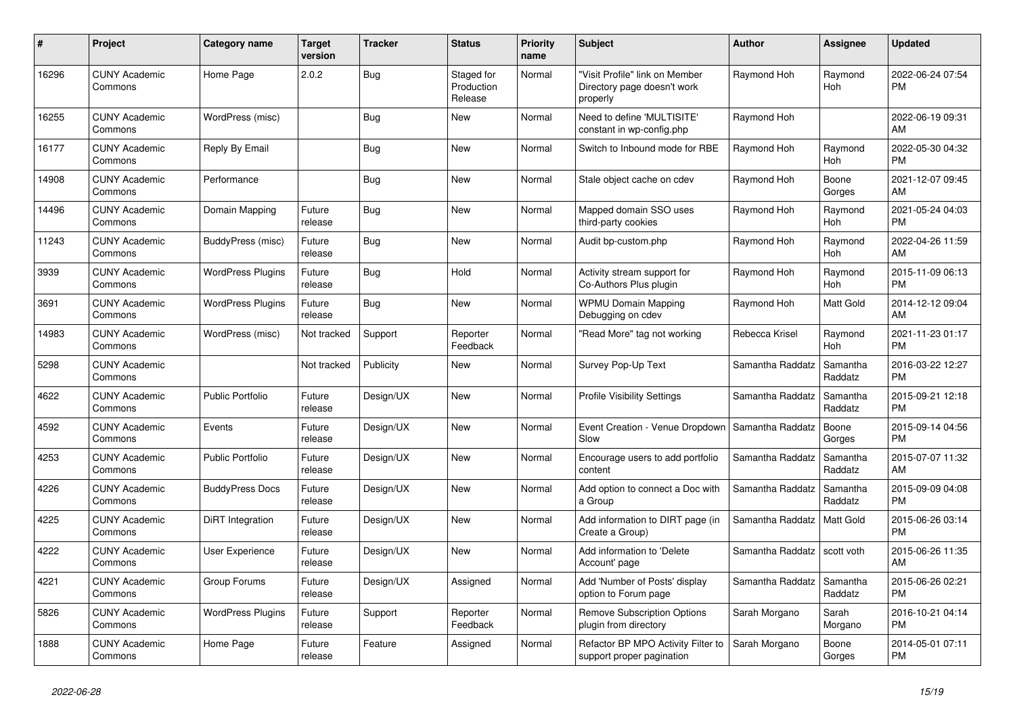| #     | <b>Project</b>                  | Category name            | <b>Target</b><br>version | Tracker    | <b>Status</b>                       | <b>Priority</b><br>name | <b>Subject</b>                                                            | Author           | Assignee              | <b>Updated</b>                |
|-------|---------------------------------|--------------------------|--------------------------|------------|-------------------------------------|-------------------------|---------------------------------------------------------------------------|------------------|-----------------------|-------------------------------|
| 16296 | <b>CUNY Academic</b><br>Commons | Home Page                | 2.0.2                    | <b>Bug</b> | Staged for<br>Production<br>Release | Normal                  | 'Visit Profile" link on Member<br>Directory page doesn't work<br>properly | Raymond Hoh      | Raymond<br><b>Hoh</b> | 2022-06-24 07:54<br><b>PM</b> |
| 16255 | <b>CUNY Academic</b><br>Commons | WordPress (misc)         |                          | <b>Bug</b> | <b>New</b>                          | Normal                  | Need to define 'MULTISITE'<br>constant in wp-config.php                   | Raymond Hoh      |                       | 2022-06-19 09:31<br>AM        |
| 16177 | <b>CUNY Academic</b><br>Commons | Reply By Email           |                          | <b>Bug</b> | <b>New</b>                          | Normal                  | Switch to Inbound mode for RBE                                            | Raymond Hoh      | Raymond<br>Hoh        | 2022-05-30 04:32<br><b>PM</b> |
| 14908 | <b>CUNY Academic</b><br>Commons | Performance              |                          | <b>Bug</b> | <b>New</b>                          | Normal                  | Stale object cache on cdev                                                | Raymond Hoh      | Boone<br>Gorges       | 2021-12-07 09:45<br>AM        |
| 14496 | <b>CUNY Academic</b><br>Commons | Domain Mapping           | Future<br>release        | Bug        | <b>New</b>                          | Normal                  | Mapped domain SSO uses<br>third-party cookies                             | Raymond Hoh      | Raymond<br>Hoh        | 2021-05-24 04:03<br><b>PM</b> |
| 11243 | <b>CUNY Academic</b><br>Commons | BuddyPress (misc)        | Future<br>release        | Bug        | <b>New</b>                          | Normal                  | Audit bp-custom.php                                                       | Raymond Hoh      | Raymond<br>Hoh        | 2022-04-26 11:59<br>AM        |
| 3939  | <b>CUNY Academic</b><br>Commons | <b>WordPress Plugins</b> | Future<br>release        | <b>Bug</b> | Hold                                | Normal                  | Activity stream support for<br>Co-Authors Plus plugin                     | Raymond Hoh      | Raymond<br>Hoh        | 2015-11-09 06:13<br><b>PM</b> |
| 3691  | <b>CUNY Academic</b><br>Commons | <b>WordPress Plugins</b> | Future<br>release        | <b>Bug</b> | <b>New</b>                          | Normal                  | <b>WPMU Domain Mapping</b><br>Debugging on cdev                           | Raymond Hoh      | Matt Gold             | 2014-12-12 09:04<br>AM        |
| 14983 | <b>CUNY Academic</b><br>Commons | WordPress (misc)         | Not tracked              | Support    | Reporter<br>Feedback                | Normal                  | 'Read More" tag not working                                               | Rebecca Krisel   | Raymond<br>Hoh        | 2021-11-23 01:17<br><b>PM</b> |
| 5298  | <b>CUNY Academic</b><br>Commons |                          | Not tracked              | Publicity  | <b>New</b>                          | Normal                  | Survey Pop-Up Text                                                        | Samantha Raddatz | Samantha<br>Raddatz   | 2016-03-22 12:27<br><b>PM</b> |
| 4622  | <b>CUNY Academic</b><br>Commons | <b>Public Portfolio</b>  | Future<br>release        | Design/UX  | <b>New</b>                          | Normal                  | <b>Profile Visibility Settings</b>                                        | Samantha Raddatz | Samantha<br>Raddatz   | 2015-09-21 12:18<br><b>PM</b> |
| 4592  | <b>CUNY Academic</b><br>Commons | Events                   | Future<br>release        | Design/UX  | <b>New</b>                          | Normal                  | Event Creation - Venue Dropdown   Samantha Raddatz<br>Slow                |                  | Boone<br>Gorges       | 2015-09-14 04:56<br><b>PM</b> |
| 4253  | <b>CUNY Academic</b><br>Commons | <b>Public Portfolio</b>  | Future<br>release        | Design/UX  | New                                 | Normal                  | Encourage users to add portfolio<br>content                               | Samantha Raddatz | Samantha<br>Raddatz   | 2015-07-07 11:32<br>AM        |
| 4226  | <b>CUNY Academic</b><br>Commons | <b>BuddyPress Docs</b>   | Future<br>release        | Design/UX  | <b>New</b>                          | Normal                  | Add option to connect a Doc with<br>a Group                               | Samantha Raddatz | Samantha<br>Raddatz   | 2015-09-09 04:08<br><b>PM</b> |
| 4225  | <b>CUNY Academic</b><br>Commons | DiRT Integration         | Future<br>release        | Design/UX  | <b>New</b>                          | Normal                  | Add information to DIRT page (in<br>Create a Group)                       | Samantha Raddatz | <b>Matt Gold</b>      | 2015-06-26 03:14<br><b>PM</b> |
| 4222  | <b>CUNY Academic</b><br>Commons | User Experience          | Future<br>release        | Design/UX  | <b>New</b>                          | Normal                  | Add information to 'Delete<br>Account' page                               | Samantha Raddatz | scott voth            | 2015-06-26 11:35<br>AM        |
| 4221  | <b>CUNY Academic</b><br>Commons | Group Forums             | Future<br>release        | Design/UX  | Assigned                            | Normal                  | Add 'Number of Posts' display<br>option to Forum page                     | Samantha Raddatz | Samantha<br>Raddatz   | 2015-06-26 02:21<br><b>PM</b> |
| 5826  | <b>CUNY Academic</b><br>Commons | <b>WordPress Plugins</b> | Future<br>release        | Support    | Reporter<br>Feedback                | Normal                  | <b>Remove Subscription Options</b><br>plugin from directory               | Sarah Morgano    | Sarah<br>Morgano      | 2016-10-21 04:14<br><b>PM</b> |
| 1888  | <b>CUNY Academic</b><br>Commons | Home Page                | Future<br>release        | Feature    | Assigned                            | Normal                  | Refactor BP MPO Activity Filter to<br>support proper pagination           | Sarah Morgano    | Boone<br>Gorges       | 2014-05-01 07:11<br><b>PM</b> |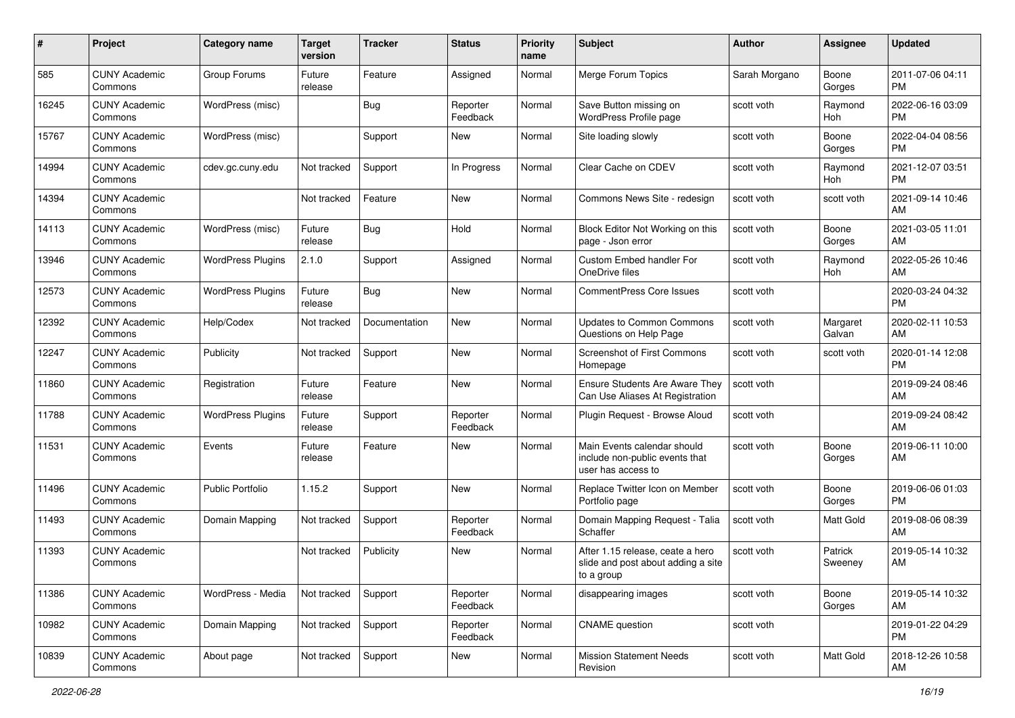| #     | Project                         | <b>Category name</b>     | <b>Target</b><br>version | <b>Tracker</b> | <b>Status</b>        | <b>Priority</b><br>name | Subject                                                                              | <b>Author</b> | <b>Assignee</b>    | <b>Updated</b>                |
|-------|---------------------------------|--------------------------|--------------------------|----------------|----------------------|-------------------------|--------------------------------------------------------------------------------------|---------------|--------------------|-------------------------------|
| 585   | <b>CUNY Academic</b><br>Commons | Group Forums             | Future<br>release        | Feature        | Assigned             | Normal                  | Merge Forum Topics                                                                   | Sarah Morgano | Boone<br>Gorges    | 2011-07-06 04:11<br><b>PM</b> |
| 16245 | <b>CUNY Academic</b><br>Commons | WordPress (misc)         |                          | <b>Bug</b>     | Reporter<br>Feedback | Normal                  | Save Button missing on<br>WordPress Profile page                                     | scott voth    | Raymond<br>Hoh     | 2022-06-16 03:09<br><b>PM</b> |
| 15767 | <b>CUNY Academic</b><br>Commons | WordPress (misc)         |                          | Support        | New                  | Normal                  | Site loading slowly                                                                  | scott voth    | Boone<br>Gorges    | 2022-04-04 08:56<br><b>PM</b> |
| 14994 | <b>CUNY Academic</b><br>Commons | cdev.gc.cuny.edu         | Not tracked              | Support        | In Progress          | Normal                  | Clear Cache on CDEV                                                                  | scott voth    | Raymond<br>Hoh     | 2021-12-07 03:51<br><b>PM</b> |
| 14394 | <b>CUNY Academic</b><br>Commons |                          | Not tracked              | Feature        | New                  | Normal                  | Commons News Site - redesign                                                         | scott voth    | scott voth         | 2021-09-14 10:46<br>AM        |
| 14113 | <b>CUNY Academic</b><br>Commons | WordPress (misc)         | Future<br>release        | Bug            | Hold                 | Normal                  | Block Editor Not Working on this<br>page - Json error                                | scott voth    | Boone<br>Gorges    | 2021-03-05 11:01<br>AM        |
| 13946 | <b>CUNY Academic</b><br>Commons | <b>WordPress Plugins</b> | 2.1.0                    | Support        | Assigned             | Normal                  | <b>Custom Embed handler For</b><br>OneDrive files                                    | scott voth    | Raymond<br>Hoh     | 2022-05-26 10:46<br>AM        |
| 12573 | <b>CUNY Academic</b><br>Commons | <b>WordPress Plugins</b> | Future<br>release        | <b>Bug</b>     | New                  | Normal                  | <b>CommentPress Core Issues</b>                                                      | scott voth    |                    | 2020-03-24 04:32<br><b>PM</b> |
| 12392 | <b>CUNY Academic</b><br>Commons | Help/Codex               | Not tracked              | Documentation  | New                  | Normal                  | <b>Updates to Common Commons</b><br>Questions on Help Page                           | scott voth    | Margaret<br>Galvan | 2020-02-11 10:53<br>AM        |
| 12247 | <b>CUNY Academic</b><br>Commons | Publicity                | Not tracked              | Support        | <b>New</b>           | Normal                  | <b>Screenshot of First Commons</b><br>Homepage                                       | scott voth    | scott voth         | 2020-01-14 12:08<br>PM        |
| 11860 | <b>CUNY Academic</b><br>Commons | Registration             | Future<br>release        | Feature        | New                  | Normal                  | Ensure Students Are Aware They<br>Can Use Aliases At Registration                    | scott voth    |                    | 2019-09-24 08:46<br>AM        |
| 11788 | <b>CUNY Academic</b><br>Commons | <b>WordPress Plugins</b> | Future<br>release        | Support        | Reporter<br>Feedback | Normal                  | Plugin Request - Browse Aloud                                                        | scott voth    |                    | 2019-09-24 08:42<br>AM        |
| 11531 | <b>CUNY Academic</b><br>Commons | Events                   | Future<br>release        | Feature        | New                  | Normal                  | Main Events calendar should<br>include non-public events that<br>user has access to  | scott voth    | Boone<br>Gorges    | 2019-06-11 10:00<br>AM        |
| 11496 | <b>CUNY Academic</b><br>Commons | <b>Public Portfolio</b>  | 1.15.2                   | Support        | <b>New</b>           | Normal                  | Replace Twitter Icon on Member<br>Portfolio page                                     | scott voth    | Boone<br>Gorges    | 2019-06-06 01:03<br><b>PM</b> |
| 11493 | <b>CUNY Academic</b><br>Commons | Domain Mapping           | Not tracked              | Support        | Reporter<br>Feedback | Normal                  | Domain Mapping Request - Talia<br>Schaffer                                           | scott voth    | <b>Matt Gold</b>   | 2019-08-06 08:39<br>AM        |
| 11393 | <b>CUNY Academic</b><br>Commons |                          | Not tracked              | Publicity      | New                  | Normal                  | After 1.15 release, ceate a hero<br>slide and post about adding a site<br>to a group | scott voth    | Patrick<br>Sweeney | 2019-05-14 10:32<br>AM        |
| 11386 | <b>CUNY Academic</b><br>Commons | WordPress - Media        | Not tracked              | Support        | Reporter<br>Feedback | Normal                  | disappearing images                                                                  | scott voth    | Boone<br>Gorges    | 2019-05-14 10:32<br>AM        |
| 10982 | <b>CUNY Academic</b><br>Commons | Domain Mapping           | Not tracked              | Support        | Reporter<br>Feedback | Normal                  | <b>CNAME</b> question                                                                | scott voth    |                    | 2019-01-22 04:29<br>PM        |
| 10839 | <b>CUNY Academic</b><br>Commons | About page               | Not tracked              | Support        | New                  | Normal                  | <b>Mission Statement Needs</b><br>Revision                                           | scott voth    | Matt Gold          | 2018-12-26 10:58<br>AM        |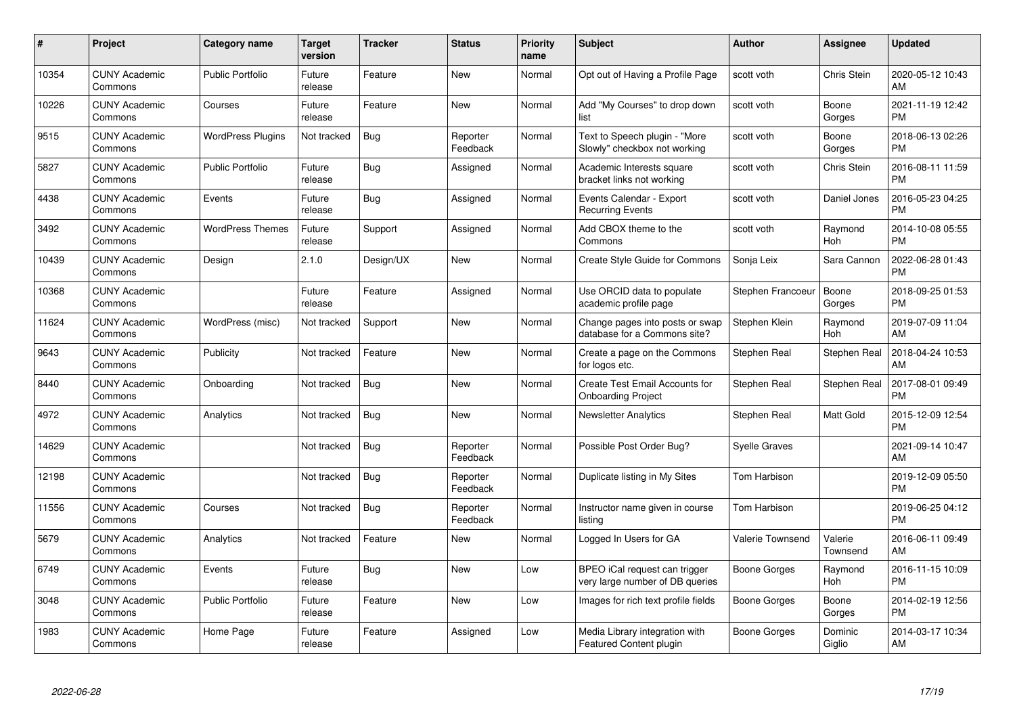| $\#$  | Project                         | <b>Category name</b>     | <b>Target</b><br>version | <b>Tracker</b> | <b>Status</b>        | <b>Priority</b><br>name | <b>Subject</b>                                                   | Author               | <b>Assignee</b>       | <b>Updated</b>                |
|-------|---------------------------------|--------------------------|--------------------------|----------------|----------------------|-------------------------|------------------------------------------------------------------|----------------------|-----------------------|-------------------------------|
| 10354 | <b>CUNY Academic</b><br>Commons | <b>Public Portfolio</b>  | Future<br>release        | Feature        | <b>New</b>           | Normal                  | Opt out of Having a Profile Page                                 | scott voth           | Chris Stein           | 2020-05-12 10:43<br>AM        |
| 10226 | <b>CUNY Academic</b><br>Commons | Courses                  | Future<br>release        | Feature        | <b>New</b>           | Normal                  | Add "My Courses" to drop down<br>list                            | scott voth           | Boone<br>Gorges       | 2021-11-19 12:42<br><b>PM</b> |
| 9515  | <b>CUNY Academic</b><br>Commons | <b>WordPress Plugins</b> | Not tracked              | <b>Bug</b>     | Reporter<br>Feedback | Normal                  | Text to Speech plugin - "More<br>Slowly" checkbox not working    | scott voth           | Boone<br>Gorges       | 2018-06-13 02:26<br><b>PM</b> |
| 5827  | <b>CUNY Academic</b><br>Commons | <b>Public Portfolio</b>  | Future<br>release        | <b>Bug</b>     | Assigned             | Normal                  | Academic Interests square<br>bracket links not working           | scott voth           | <b>Chris Stein</b>    | 2016-08-11 11:59<br><b>PM</b> |
| 4438  | <b>CUNY Academic</b><br>Commons | Events                   | Future<br>release        | <b>Bug</b>     | Assigned             | Normal                  | Events Calendar - Export<br><b>Recurring Events</b>              | scott voth           | Daniel Jones          | 2016-05-23 04:25<br><b>PM</b> |
| 3492  | <b>CUNY Academic</b><br>Commons | <b>WordPress Themes</b>  | Future<br>release        | Support        | Assigned             | Normal                  | Add CBOX theme to the<br>Commons                                 | scott voth           | Raymond<br>Hoh        | 2014-10-08 05:55<br><b>PM</b> |
| 10439 | <b>CUNY Academic</b><br>Commons | Design                   | 2.1.0                    | Design/UX      | <b>New</b>           | Normal                  | <b>Create Style Guide for Commons</b>                            | Sonja Leix           | Sara Cannon           | 2022-06-28 01:43<br><b>PM</b> |
| 10368 | <b>CUNY Academic</b><br>Commons |                          | Future<br>release        | Feature        | Assigned             | Normal                  | Use ORCID data to populate<br>academic profile page              | Stephen Francoeur    | Boone<br>Gorges       | 2018-09-25 01:53<br><b>PM</b> |
| 11624 | <b>CUNY Academic</b><br>Commons | WordPress (misc)         | Not tracked              | Support        | <b>New</b>           | Normal                  | Change pages into posts or swap<br>database for a Commons site?  | Stephen Klein        | Raymond<br>Hoh        | 2019-07-09 11:04<br>AM        |
| 9643  | <b>CUNY Academic</b><br>Commons | Publicity                | Not tracked              | Feature        | <b>New</b>           | Normal                  | Create a page on the Commons<br>for logos etc.                   | Stephen Real         | Stephen Real          | 2018-04-24 10:53<br>AM        |
| 8440  | <b>CUNY Academic</b><br>Commons | Onboarding               | Not tracked              | <b>Bug</b>     | <b>New</b>           | Normal                  | Create Test Email Accounts for<br><b>Onboarding Project</b>      | Stephen Real         | Stephen Real          | 2017-08-01 09:49<br><b>PM</b> |
| 4972  | <b>CUNY Academic</b><br>Commons | Analytics                | Not tracked              | <b>Bug</b>     | <b>New</b>           | Normal                  | <b>Newsletter Analytics</b>                                      | Stephen Real         | <b>Matt Gold</b>      | 2015-12-09 12:54<br><b>PM</b> |
| 14629 | <b>CUNY Academic</b><br>Commons |                          | Not tracked              | <b>Bug</b>     | Reporter<br>Feedback | Normal                  | Possible Post Order Bug?                                         | <b>Syelle Graves</b> |                       | 2021-09-14 10:47<br>AM        |
| 12198 | <b>CUNY Academic</b><br>Commons |                          | Not tracked              | Bug            | Reporter<br>Feedback | Normal                  | Duplicate listing in My Sites                                    | Tom Harbison         |                       | 2019-12-09 05:50<br><b>PM</b> |
| 11556 | <b>CUNY Academic</b><br>Commons | Courses                  | Not tracked              | <b>Bug</b>     | Reporter<br>Feedback | Normal                  | Instructor name given in course<br>listing                       | Tom Harbison         |                       | 2019-06-25 04:12<br><b>PM</b> |
| 5679  | <b>CUNY Academic</b><br>Commons | Analytics                | Not tracked              | Feature        | <b>New</b>           | Normal                  | Logged In Users for GA                                           | Valerie Townsend     | Valerie<br>Townsend   | 2016-06-11 09:49<br>AM        |
| 6749  | <b>CUNY Academic</b><br>Commons | Events                   | Future<br>release        | Bug            | <b>New</b>           | Low                     | BPEO iCal request can trigger<br>very large number of DB queries | Boone Gorges         | Raymond<br><b>Hoh</b> | 2016-11-15 10:09<br><b>PM</b> |
| 3048  | <b>CUNY Academic</b><br>Commons | <b>Public Portfolio</b>  | Future<br>release        | Feature        | <b>New</b>           | Low                     | Images for rich text profile fields                              | Boone Gorges         | Boone<br>Gorges       | 2014-02-19 12:56<br><b>PM</b> |
| 1983  | <b>CUNY Academic</b><br>Commons | Home Page                | Future<br>release        | Feature        | Assigned             | Low                     | Media Library integration with<br>Featured Content plugin        | Boone Gorges         | Dominic<br>Giglio     | 2014-03-17 10:34<br>AM        |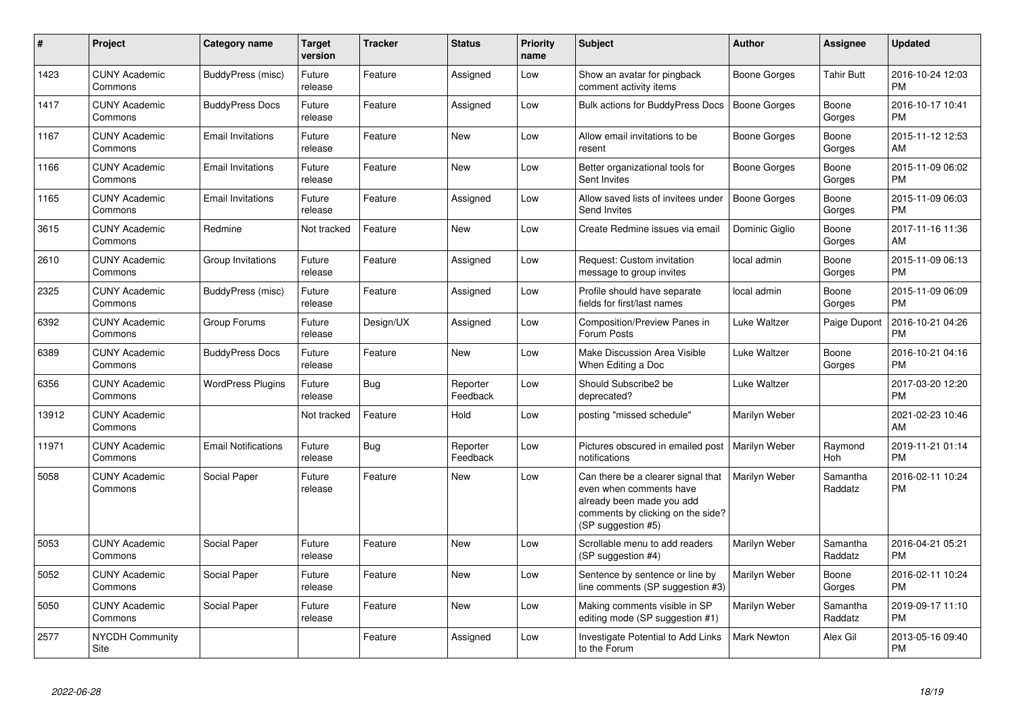| #     | Project                         | <b>Category name</b>       | <b>Target</b><br>version | <b>Tracker</b> | <b>Status</b>        | <b>Priority</b><br>name | <b>Subject</b>                                                                                                                                        | <b>Author</b>       | Assignee            | <b>Updated</b>                |
|-------|---------------------------------|----------------------------|--------------------------|----------------|----------------------|-------------------------|-------------------------------------------------------------------------------------------------------------------------------------------------------|---------------------|---------------------|-------------------------------|
| 1423  | <b>CUNY Academic</b><br>Commons | BuddyPress (misc)          | Future<br>release        | Feature        | Assigned             | Low                     | Show an avatar for pingback<br>comment activity items                                                                                                 | Boone Gorges        | Tahir Butt          | 2016-10-24 12:03<br><b>PM</b> |
| 1417  | <b>CUNY Academic</b><br>Commons | <b>BuddyPress Docs</b>     | Future<br>release        | Feature        | Assigned             | Low                     | <b>Bulk actions for BuddyPress Docs</b>                                                                                                               | <b>Boone Gorges</b> | Boone<br>Gorges     | 2016-10-17 10:41<br><b>PM</b> |
| 1167  | <b>CUNY Academic</b><br>Commons | <b>Email Invitations</b>   | Future<br>release        | Feature        | <b>New</b>           | Low                     | Allow email invitations to be<br>resent                                                                                                               | Boone Gorges        | Boone<br>Gorges     | 2015-11-12 12:53<br>AM        |
| 1166  | <b>CUNY Academic</b><br>Commons | <b>Email Invitations</b>   | Future<br>release        | Feature        | <b>New</b>           | Low                     | Better organizational tools for<br>Sent Invites                                                                                                       | Boone Gorges        | Boone<br>Gorges     | 2015-11-09 06:02<br><b>PM</b> |
| 1165  | <b>CUNY Academic</b><br>Commons | <b>Email Invitations</b>   | Future<br>release        | Feature        | Assigned             | Low                     | Allow saved lists of invitees under<br><b>Send Invites</b>                                                                                            | <b>Boone Gorges</b> | Boone<br>Gorges     | 2015-11-09 06:03<br><b>PM</b> |
| 3615  | <b>CUNY Academic</b><br>Commons | Redmine                    | Not tracked              | Feature        | <b>New</b>           | Low                     | Create Redmine issues via email                                                                                                                       | Dominic Giglio      | Boone<br>Gorges     | 2017-11-16 11:36<br>AM        |
| 2610  | <b>CUNY Academic</b><br>Commons | Group Invitations          | Future<br>release        | Feature        | Assigned             | Low                     | Request: Custom invitation<br>message to group invites                                                                                                | local admin         | Boone<br>Gorges     | 2015-11-09 06:13<br><b>PM</b> |
| 2325  | <b>CUNY Academic</b><br>Commons | BuddyPress (misc)          | Future<br>release        | Feature        | Assigned             | Low                     | Profile should have separate<br>fields for first/last names                                                                                           | local admin         | Boone<br>Gorges     | 2015-11-09 06:09<br><b>PM</b> |
| 6392  | <b>CUNY Academic</b><br>Commons | Group Forums               | Future<br>release        | Design/UX      | Assigned             | Low                     | Composition/Preview Panes in<br>Forum Posts                                                                                                           | Luke Waltzer        | Paige Dupont        | 2016-10-21 04:26<br><b>PM</b> |
| 6389  | <b>CUNY Academic</b><br>Commons | <b>BuddyPress Docs</b>     | Future<br>release        | Feature        | <b>New</b>           | Low                     | Make Discussion Area Visible<br>When Editing a Doc                                                                                                    | Luke Waltzer        | Boone<br>Gorges     | 2016-10-21 04:16<br><b>PM</b> |
| 6356  | <b>CUNY Academic</b><br>Commons | <b>WordPress Plugins</b>   | Future<br>release        | Bug            | Reporter<br>Feedback | Low                     | Should Subscribe2 be<br>deprecated?                                                                                                                   | Luke Waltzer        |                     | 2017-03-20 12:20<br><b>PM</b> |
| 13912 | <b>CUNY Academic</b><br>Commons |                            | Not tracked              | Feature        | Hold                 | Low                     | posting "missed schedule"                                                                                                                             | Marilyn Weber       |                     | 2021-02-23 10:46<br>AM        |
| 11971 | <b>CUNY Academic</b><br>Commons | <b>Email Notifications</b> | Future<br>release        | Bug            | Reporter<br>Feedback | Low                     | Pictures obscured in emailed post<br>notifications                                                                                                    | Marilyn Weber       | Raymond<br>Hoh      | 2019-11-21 01:14<br><b>PM</b> |
| 5058  | <b>CUNY Academic</b><br>Commons | Social Paper               | Future<br>release        | Feature        | <b>New</b>           | Low                     | Can there be a clearer signal that<br>even when comments have<br>already been made you add<br>comments by clicking on the side?<br>(SP suggestion #5) | Marilyn Weber       | Samantha<br>Raddatz | 2016-02-11 10:24<br><b>PM</b> |
| 5053  | <b>CUNY Academic</b><br>Commons | Social Paper               | Future<br>release        | Feature        | <b>New</b>           | Low                     | Scrollable menu to add readers<br>(SP suggestion #4)                                                                                                  | Marilyn Weber       | Samantha<br>Raddatz | 2016-04-21 05:21<br><b>PM</b> |
| 5052  | <b>CUNY Academic</b><br>Commons | Social Paper               | Future<br>release        | Feature        | New                  | Low                     | Sentence by sentence or line by<br>line comments (SP suggestion #3)                                                                                   | Marilyn Weber       | Boone<br>Gorges     | 2016-02-11 10:24<br><b>PM</b> |
| 5050  | <b>CUNY Academic</b><br>Commons | Social Paper               | Future<br>release        | Feature        | <b>New</b>           | Low                     | Making comments visible in SP<br>editing mode (SP suggestion #1)                                                                                      | Marilyn Weber       | Samantha<br>Raddatz | 2019-09-17 11:10<br><b>PM</b> |
| 2577  | <b>NYCDH Community</b><br>Site  |                            |                          | Feature        | Assigned             | Low                     | Investigate Potential to Add Links<br>to the Forum                                                                                                    | <b>Mark Newton</b>  | Alex Gil            | 2013-05-16 09:40<br>PM        |